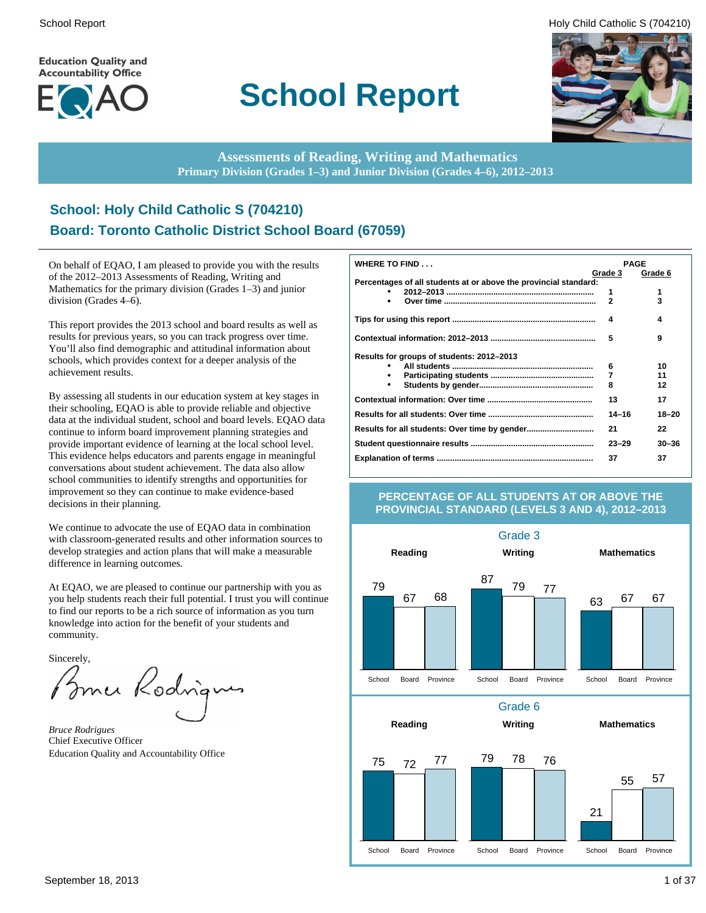**Education Quality and Accountability Office** 



# **School Report**

School Report **Example 2** and the set of the set of the set of the set of the set of the set of the set of the set of the set of the set of the set of the set of the set of the set of the set of the set of the set of the s



**Assessments of Reading, Writing and Mathematics Primary Division (Grades 1–3) and Junior Division (Grades 4–6), 2012–2013**

# **School: Holy Child Catholic S (704210) Board: Toronto Catholic District School Board (67059)**

On behalf of EQAO, I am pleased to provide you with the results of the 2012–2013 Assessments of Reading, Writing and Mathematics for the primary division (Grades 1–3) and junior division (Grades 4–6).

This report provides the 2013 school and board results as well as results for previous years, so you can track progress over time. You'll also find demographic and attitudinal information about schools, which provides context for a deeper analysis of the achievement results.

By assessing all students in our education system at key stages in their schooling, EQAO is able to provide reliable and objective data at the individual student, school and board levels. EQAO data continue to inform board improvement planning strategies and provide important evidence of learning at the local school level. This evidence helps educators and parents engage in meaningful conversations about student achievement. The data also allow school communities to identify strengths and opportunities for improvement so they can continue to make evidence-based decisions in their planning.

We continue to advocate the use of EQAO data in combination with classroom-generated results and other information sources to develop strategies and action plans that will make a measurable difference in learning outcomes.

At EQAO, we are pleased to continue our partnership with you as you help students reach their full potential. I trust you will continue to find our reports to be a rich source of information as you turn knowledge into action for the benefit of your students and community.

Sincerely,

Brner Rodrig

*Bruce Rodrigues* Chief Executive Officer Education Quality and Accountability Office

| <b>WHERE TO FIND</b>                                             | <b>PAGE</b> |           |
|------------------------------------------------------------------|-------------|-----------|
|                                                                  | Grade 3     | Grade 6   |
| Percentages of all students at or above the provincial standard: |             |           |
|                                                                  | 1           | 1         |
| ٠                                                                | 2           | 3         |
|                                                                  | 4           | 4         |
|                                                                  | 5           | 9         |
| Results for groups of students: 2012-2013                        |             |           |
|                                                                  | 6           | 10        |
| ٠                                                                | 7           | 11        |
| ٠                                                                | 8           | 12        |
|                                                                  | 13          | 17        |
|                                                                  | $14 - 16$   | $18 - 20$ |
|                                                                  | 21          | 22        |
|                                                                  | $23 - 29$   | $30 - 36$ |
|                                                                  | 37          | 37        |

#### **PERCENTAGE OF ALL STUDENTS AT OR ABOVE THE PROVINCIAL STANDARD (LEVELS 3 AND 4), 2012–2013**

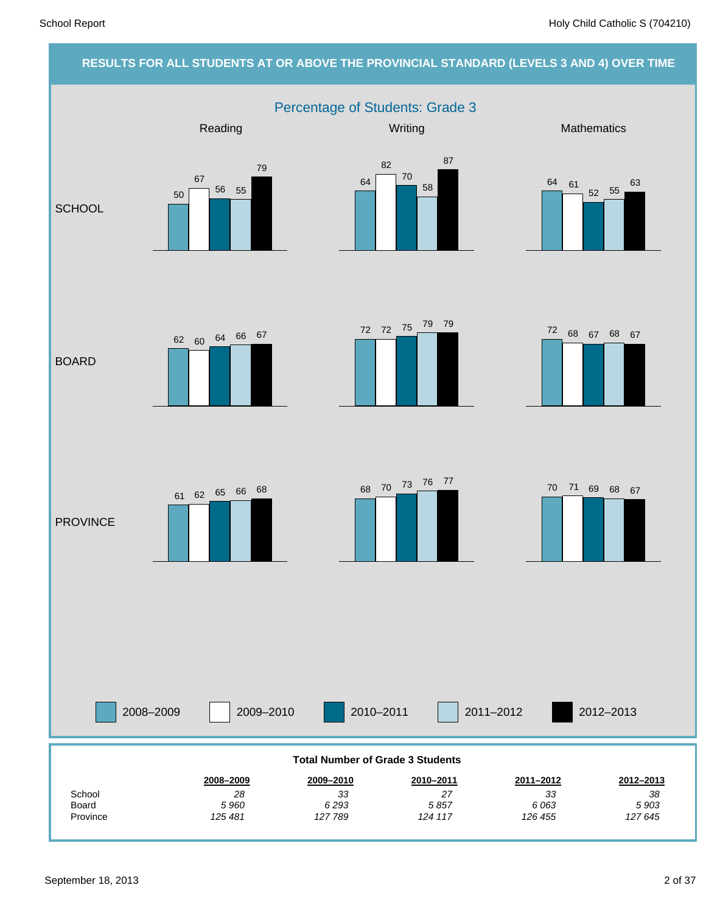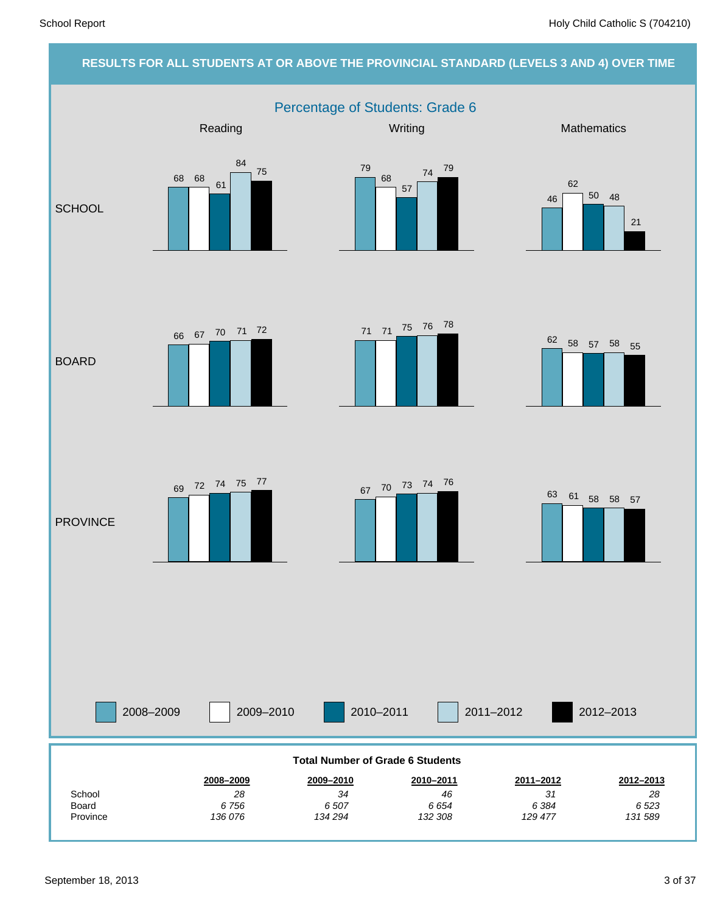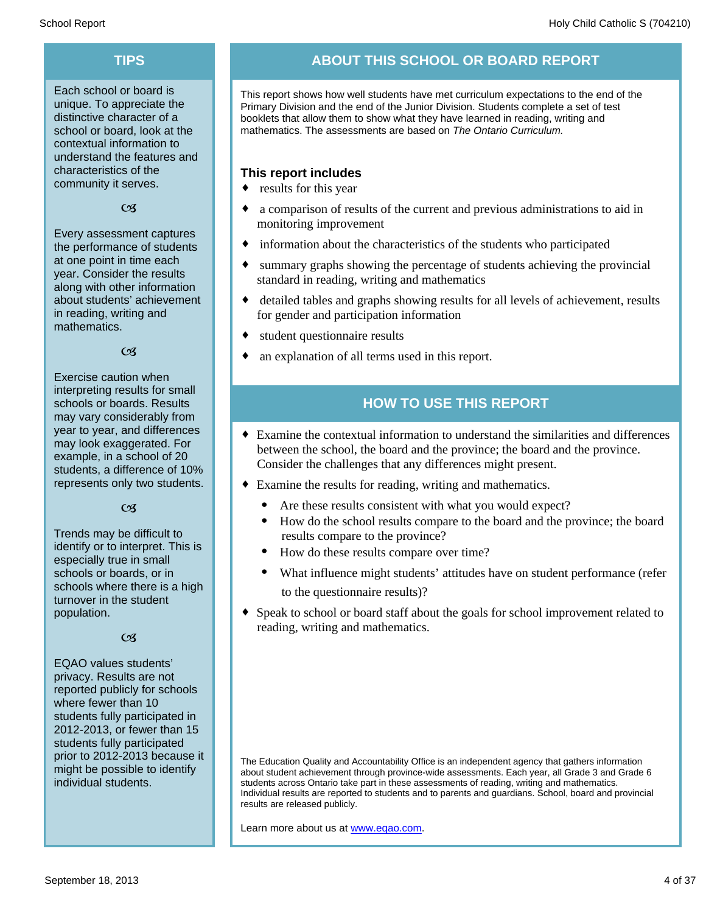Each school or board is unique. To appreciate the distinctive character of a school or board, look at the contextual information to understand the features and characteristics of the community it serves.

 $CZ$ 

Every assessment captures the performance of students at one point in time each year. Consider the results along with other information about students' achievement in reading, writing and mathematics.

#### $\alpha$

Exercise caution when interpreting results for small schools or boards. Results may vary considerably from year to year, and differences may look exaggerated. For example, in a school of 20 students, a difference of 10% represents only two students.

#### $C<sub>3</sub>$

Trends may be difficult to identify or to interpret. This is especially true in small schools or boards, or in schools where there is a high turnover in the student population.

#### $\alpha$

EQAO values students' privacy. Results are not reported publicly for schools where fewer than 10 students fully participated in 2012-2013, or fewer than 15 students fully participated prior to 2012-2013 because it might be possible to identify individual students.

# **TIPS ABOUT THIS SCHOOL OR BOARD REPORT**

This report shows how well students have met curriculum expectations to the end of the Primary Division and the end of the Junior Division. Students complete a set of test booklets that allow them to show what they have learned in reading, writing and mathematics. The assessments are based on *The Ontario Curriculum.*

#### **This report includes**

- $\bullet$  results for this year
- a comparison of results of the current and previous administrations to aid in monitoring improvement
- $\bullet$  information about the characteristics of the students who participated
- summary graphs showing the percentage of students achieving the provincial standard in reading, writing and mathematics
- detailed tables and graphs showing results for all levels of achievement, results for gender and participation information
- student questionnaire results
- an explanation of all terms used in this report.

### **HOW TO USE THIS REPORT**

- ¨ Examine the contextual information to understand the similarities and differences between the school, the board and the province; the board and the province. Consider the challenges that any differences might present.
- Examine the results for reading, writing and mathematics.
	- Are these results consistent with what you would expect?
	- · How do the school results compare to the board and the province; the board results compare to the province?
	- How do these results compare over time?
	- What influence might students' attitudes have on student performance (refer to the questionnaire results)?
- Speak to school or board staff about the goals for school improvement related to reading, writing and mathematics.

Learn more about us at www.eqao.com.

The Education Quality and Accountability Office is an independent agency that gathers information about student achievement through province-wide assessments. Each year, all Grade 3 and Grade 6 students across Ontario take part in these assessments of reading, writing and mathematics. Individual results are reported to students and to parents and guardians. School, board and provincial results are released publicly.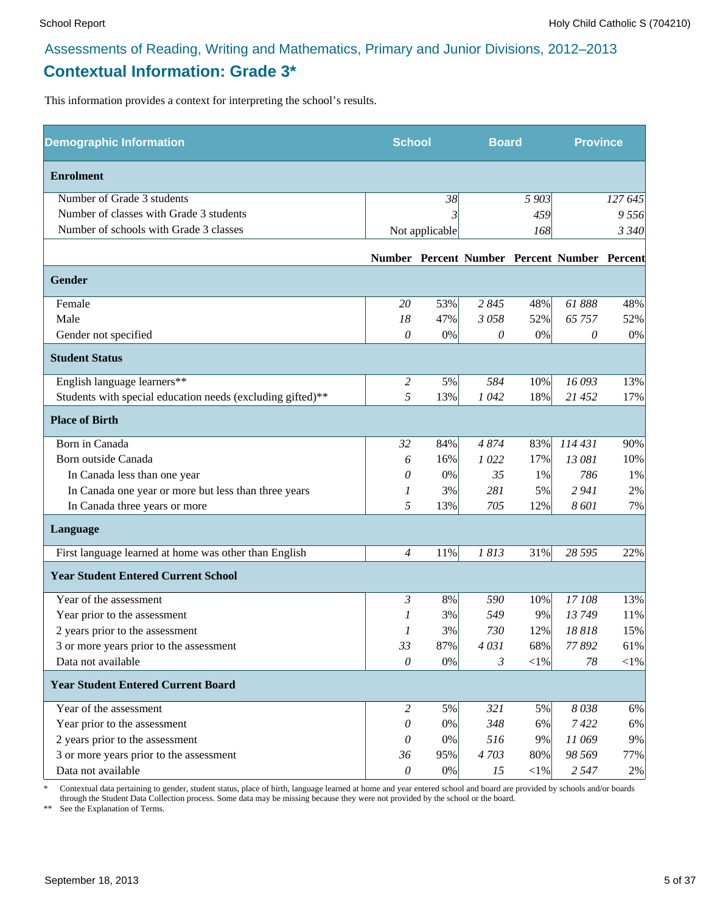# **Contextual Information: Grade 3\***

This information provides a context for interpreting the school's results.

| <b>Demographic Information</b>                             | <b>School</b>  |                | <b>Board</b>   |           | <b>Province</b>                              |         |
|------------------------------------------------------------|----------------|----------------|----------------|-----------|----------------------------------------------|---------|
| <b>Enrolment</b>                                           |                |                |                |           |                                              |         |
| Number of Grade 3 students                                 |                | 38             |                | 5 903     |                                              | 127 645 |
| Number of classes with Grade 3 students                    |                | 3              |                | 459       |                                              | 9 5 5 6 |
| Number of schools with Grade 3 classes                     |                | Not applicable |                | 168       |                                              | 3 3 4 0 |
|                                                            |                |                |                |           | Number Percent Number Percent Number Percent |         |
| <b>Gender</b>                                              |                |                |                |           |                                              |         |
| Female                                                     | 20             | 53%            | 2845           | 48%       | 61888                                        | 48%     |
| Male                                                       | 18             | 47%            | 3058           | 52%       | 65 757                                       | 52%     |
| Gender not specified                                       | 0              | 0%             | 0              | 0%        | 0                                            | 0%      |
| <b>Student Status</b>                                      |                |                |                |           |                                              |         |
| English language learners**                                | 2              | 5%             | 584            | 10%       | 16 093                                       | 13%     |
| Students with special education needs (excluding gifted)** | 5              | 13%            | 1042           | 18%       | 21 452                                       | 17%     |
| <b>Place of Birth</b>                                      |                |                |                |           |                                              |         |
| Born in Canada                                             | 32             | 84%            | 4874           | 83%       | 114 431                                      | 90%     |
| Born outside Canada                                        | 6              | 16%            | 1022           | 17%       | 13 081                                       | 10%     |
| In Canada less than one year                               | 0              | 0%             | 35             | 1%        | 786                                          | 1%      |
| In Canada one year or more but less than three years       | 1              | 3%             | 281            | 5%        | 2941                                         | 2%      |
| In Canada three years or more                              | 5              | 13%            | 705            | 12%       | 8 601                                        | 7%      |
| Language                                                   |                |                |                |           |                                              |         |
| First language learned at home was other than English      | $\overline{4}$ | 11%            | 1813           | 31%       | 28 5 95                                      | 22%     |
| <b>Year Student Entered Current School</b>                 |                |                |                |           |                                              |         |
| Year of the assessment                                     | $\mathfrak{Z}$ | 8%             | 590            | 10%       | 17 108                                       | 13%     |
| Year prior to the assessment                               | 1              | 3%             | 549            | 9%        | 13749                                        | 11%     |
| 2 years prior to the assessment                            | 1              | 3%             | 730            | 12%       | 18818                                        | 15%     |
| 3 or more years prior to the assessment                    | 33             | 87%            | 4031           | 68%       | 77892                                        | 61%     |
| Data not available                                         | 0              | 0%             | $\mathfrak{Z}$ | $<$ 1%    | 78                                           | $<$ l%  |
| <b>Year Student Entered Current Board</b>                  |                |                |                |           |                                              |         |
| Year of the assessment                                     | $\overline{c}$ | 5%             | 321            | 5%        | 8038                                         | 6%      |
| Year prior to the assessment                               | $\theta$       | 0%             | 348            | 6%        | 7422                                         | 6%      |
| 2 years prior to the assessment                            | $\theta$       | 0%             | 516            | 9%        | 11 069                                       | 9%      |
| 3 or more years prior to the assessment                    | 36             | 95%            | 4703           | 80%       | 98 569                                       | 77%     |
| Data not available                                         | $\mathcal O$   | 0%             | 15             | $<$ l $%$ | 2 5 4 7                                      | $2\%$   |

\* Contextual data pertaining to gender, student status, place of birth, language learned at home and year entered school and board are provided by schools and/or boards through the Student Data Collection process. Some data may be missing because they were not provided by the school or the board.

\*\* See the Explanation of Terms.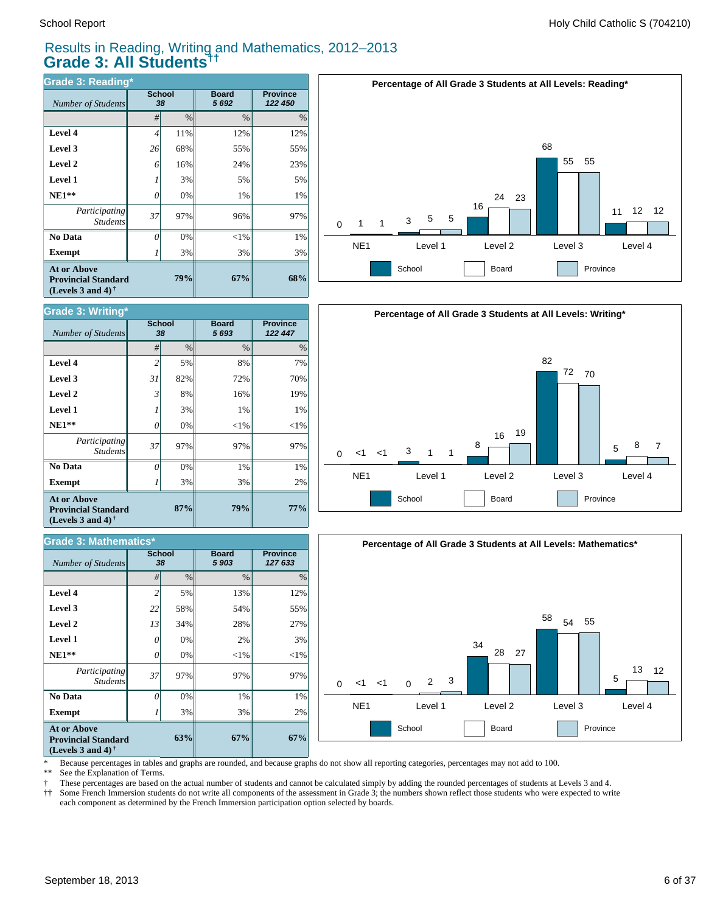#### Results in Reading, Writing and Mathematics, 2012–2013 **Grade 3: All Students††**

| <b>Grade 3: Reading*</b>                                                       |                |                     |                      |                            |  |  |  |  |
|--------------------------------------------------------------------------------|----------------|---------------------|----------------------|----------------------------|--|--|--|--|
| Number of Students                                                             |                | <b>School</b><br>38 | <b>Board</b><br>5692 | <b>Province</b><br>122 450 |  |  |  |  |
|                                                                                | #              | $\%$                | $\frac{0}{0}$        | $\%$                       |  |  |  |  |
| Level 4                                                                        | $\overline{4}$ | 11%                 | 12%                  | 12%                        |  |  |  |  |
| Level 3                                                                        | 26             | 68%                 | 55%                  | 55%                        |  |  |  |  |
| Level 2                                                                        | 6              | 16%                 | 24%                  | 23%                        |  |  |  |  |
| <b>Level 1</b>                                                                 |                | 3%                  | 5%                   | 5%                         |  |  |  |  |
| $NE1**$                                                                        | 0              | 0%                  | 1%                   | 1%                         |  |  |  |  |
| Participating<br><b>Students</b>                                               | 37             | 97%                 | 96%                  | 97%                        |  |  |  |  |
| No Data                                                                        | 0              | 0%                  | $<$ 1%               | 1%                         |  |  |  |  |
| <b>Exempt</b>                                                                  |                | 3%                  | 3%                   | 3%                         |  |  |  |  |
| <b>At or Above</b><br><b>Provincial Standard</b><br>(Levels 3 and 4) $\dagger$ | 79%            | 67%                 | 68%                  |                            |  |  |  |  |

| <b>Grade 3: Writing*</b>                                                                             |                |                     |                      |                            |  |  |  |
|------------------------------------------------------------------------------------------------------|----------------|---------------------|----------------------|----------------------------|--|--|--|
| Number of Students                                                                                   |                | <b>School</b><br>38 | <b>Board</b><br>5693 | <b>Province</b><br>122 447 |  |  |  |
|                                                                                                      | #              | $\frac{0}{0}$       | $\frac{0}{0}$        | $\%$                       |  |  |  |
| Level 4                                                                                              | $\overline{2}$ | 5%                  | 8%                   | 7%                         |  |  |  |
| Level 3                                                                                              | 31             | 82%                 | 72%                  | 70%                        |  |  |  |
| Level 2                                                                                              | 3              | 8%                  | 16%                  | 19%                        |  |  |  |
| Level 1                                                                                              |                | 3%                  | 1%                   | 1%                         |  |  |  |
| $NE1**$                                                                                              | 0              | 0%                  | $<$ 1%               | $<$ 1%                     |  |  |  |
| Participating<br><b>Students</b>                                                                     | 37             | 97%                 | 97%                  | 97%                        |  |  |  |
| No Data                                                                                              | O              | 0%                  | 1%                   | 1%                         |  |  |  |
| <b>Exempt</b>                                                                                        |                | 3%                  | 3%                   | 2%                         |  |  |  |
| <b>At or Above</b><br><b>Provincial Standard</b><br>(Levels 3 and 4) <sup><math>\dagger</math></sup> |                | 79%                 | <b>77%</b>           |                            |  |  |  |

#### *#* % % % **Province** *127 633* **Board** *5 903* **School**  $Number of Students$ **67%** 2% 1% 97%  $<$ 1% 3% 27% 55% 12% **67%** 3% 1% 97%  $<$ 1% 2% 28% 54% 13% **63%** 3% 0% 97% 0% 0% 34% 58% 5% *0 37 0 0 13 22 2* **Exempt** *1*  **No Data** *Participating Students*  **NE1\*\* Level 1 Level 2 Level 3 Level 4 At or Above Provincial Standard (Levels 3 and 4) † Grade 3: Mathematics\***







\* Because percentages in tables and graphs are rounded, and because graphs do not show all reporting categories, percentages may not add to 100.

See the Explanation of Terms.

† These percentages are based on the actual number of students and cannot be calculated simply by adding the rounded percentages of students at Levels 3 and 4.

†† Some French Immersion students do not write all components of the assessment in Grade 3; the numbers shown reflect those students who were expected to write each component as determined by the French Immersion participation option selected by boards.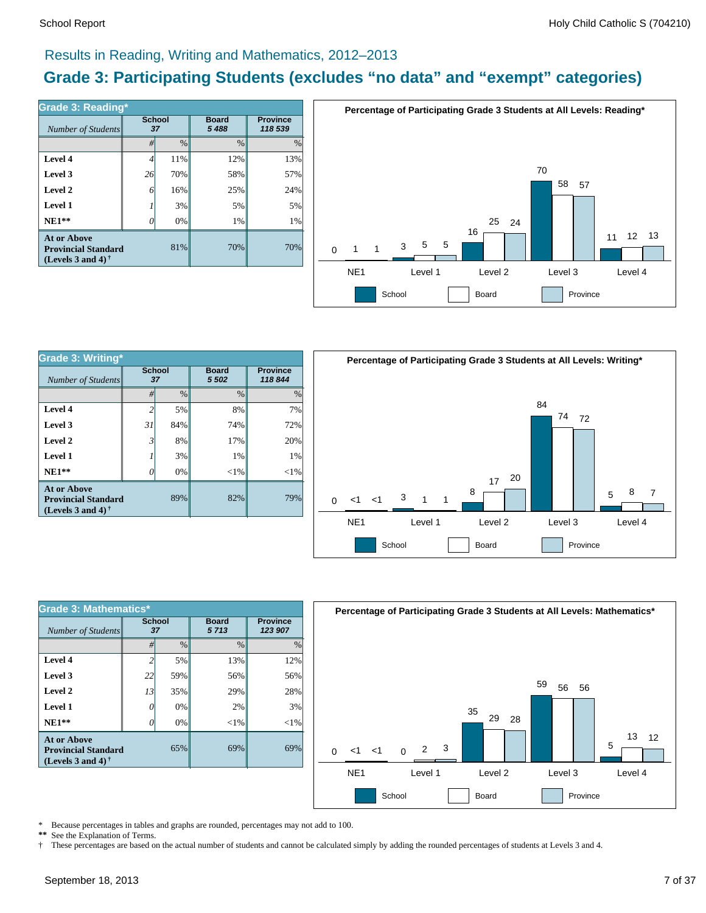**Level 1 Level 2 Level 3**

#### Results in Reading, Writing and Mathematics, 2012–2013

# **Grade 3: Participating Students (excludes "no data" and "exempt" categories)**

| Grade 3: Reading*                                                                 |                     |      |                         |                            |  |  |  |  |
|-----------------------------------------------------------------------------------|---------------------|------|-------------------------|----------------------------|--|--|--|--|
| Number of Students                                                                | <b>School</b><br>37 |      | <b>Board</b><br>5 4 8 8 | <b>Province</b><br>118 539 |  |  |  |  |
|                                                                                   | #                   | $\%$ | $\%$                    | $\%$                       |  |  |  |  |
| Level 4                                                                           | 4                   | 11%  | 12%                     | 13%                        |  |  |  |  |
| Level 3                                                                           | 26                  | 70%  | 58%                     | 57%                        |  |  |  |  |
| Level 2                                                                           | 6                   | 16%  | 25%                     | 24%                        |  |  |  |  |
| Level 1                                                                           |                     | 3%   | 5%                      | 5%                         |  |  |  |  |
| $NE1**$                                                                           |                     | 0%   | 1%                      | 1%                         |  |  |  |  |
| <b>At or Above</b><br><b>Provincial Standard</b><br>(Levels 3 and 4) $^{\dagger}$ |                     | 81%  | 70%                     | 70%                        |  |  |  |  |





| <b>Grade 3: Mathematics*</b>                                      |                |               |               |               |                      |                            |  |
|-------------------------------------------------------------------|----------------|---------------|---------------|---------------|----------------------|----------------------------|--|
| Number of Students                                                | School<br>37   |               |               |               | <b>Board</b><br>5713 | <b>Province</b><br>123 907 |  |
|                                                                   | #              | $\frac{0}{0}$ | $\frac{0}{0}$ | $\frac{0}{0}$ |                      |                            |  |
| Level 4                                                           | $\overline{c}$ | 5%            | 13%           | 12%           |                      |                            |  |
| Level 3                                                           | 22             | 59%           | 56%           | 56%           |                      |                            |  |
| Level 2                                                           | 13             | 35%           | 29%           | 28%           |                      |                            |  |
| Level 1                                                           | 0              | 0%            | 2%            | 3%            |                      |                            |  |
| $NE1**$                                                           | 0              | 0%            | $<$ 1%        | ${<}1\%$      |                      |                            |  |
| At or Above<br><b>Provincial Standard</b><br>(Levels 3 and 4) $†$ |                | 69%           | 69%           |               |                      |                            |  |



\* Because percentages in tables and graphs are rounded, percentages may not add to 100.<br>\*\* See the Explanation of Terms

See the Explanation of Terms.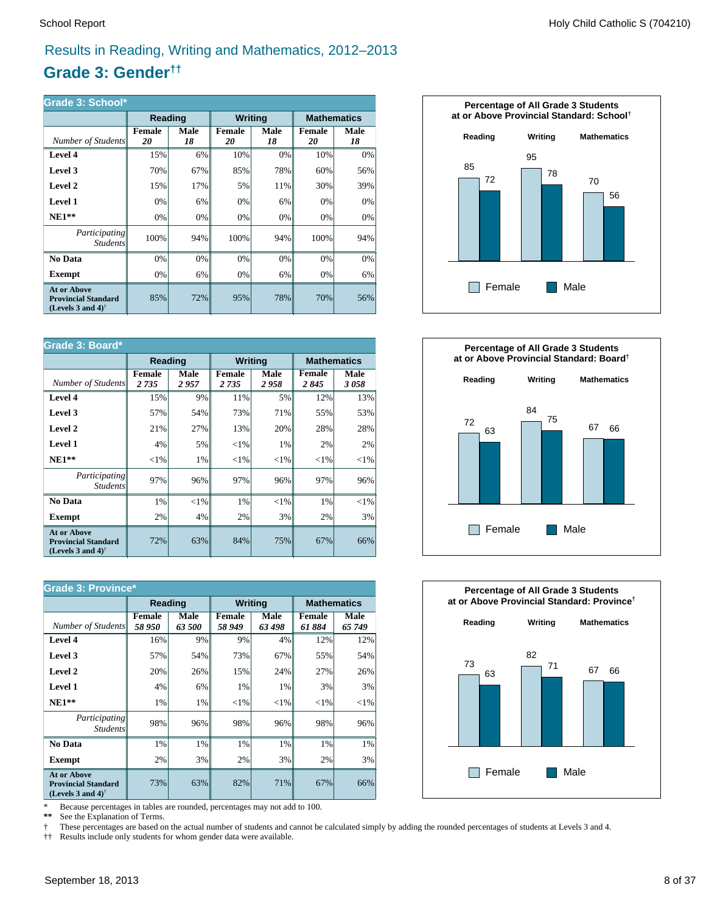# Results in Reading, Writing and Mathematics, 2012–2013

# **Grade 3: Gender††**

| Grade 3: School*                                                                                     |              |            |                |                   |                     |            |  |
|------------------------------------------------------------------------------------------------------|--------------|------------|----------------|-------------------|---------------------|------------|--|
|                                                                                                      | Reading      |            | <b>Writing</b> |                   | <b>Mathematics</b>  |            |  |
| Number of Students                                                                                   | Female<br>20 | Male<br>18 | Female<br>20   | <b>Male</b><br>18 | <b>Female</b><br>20 | Male<br>18 |  |
| Level 4                                                                                              | 15%          | 6%         | 10%            | 0%                | 10%                 | 0%         |  |
| Level 3                                                                                              | 70%          | 67%        | 85%            | 78%               | 60%                 | 56%        |  |
| Level 2                                                                                              | 15%          | 17%        | 5%             | 11%               | 30%                 | 39%        |  |
| Level 1                                                                                              | 0%           | 6%         | 0%             | 6%                | 0%                  | 0%         |  |
| $NE1**$                                                                                              | 0%           | 0%         | 0%             | 0%                | 0%                  | 0%         |  |
| Participating<br><i>Students</i>                                                                     | 100%         | 94%        | 100%           | 94%               | 100%                | 94%        |  |
| No Data                                                                                              | 0%           | 0%         | 0%             | 0%                | 0%                  | 0%         |  |
| Exempt                                                                                               | 0%           | 6%         | 0%             | 6%                | 0%                  | 6%         |  |
| <b>At or Above</b><br><b>Provincial Standard</b><br>(Levels 3 and 4) <sup><math>\dagger</math></sup> | 85%          | 72%        | 95%            | 78%               | 70%                 | 56%        |  |

| Grade 3: Board*                                                                                      |                          |                                                 |                          |              |                |              |  |
|------------------------------------------------------------------------------------------------------|--------------------------|-------------------------------------------------|--------------------------|--------------|----------------|--------------|--|
|                                                                                                      |                          | <b>Writing</b><br><b>Mathematics</b><br>Reading |                          |              |                |              |  |
| Number of Students                                                                                   | <b>Female</b><br>2 7 3 5 | Male<br>2957                                    | <b>Female</b><br>2 7 3 5 | Male<br>2958 | Female<br>2845 | Male<br>3058 |  |
| Level 4                                                                                              | 15%                      | 9%                                              | 11%                      | 5%           | 12%            | 13%          |  |
| Level 3                                                                                              | 57%                      | 54%                                             | 73%                      | 71%          | 55%            | 53%          |  |
| Level 2                                                                                              | 21%                      | 27%                                             | 13%                      | 20%          | 28%            | 28%          |  |
| <b>Level 1</b>                                                                                       | 4%                       | 5%                                              | ${<}1\%$                 | 1%           | 2%             | 2%           |  |
| $NE1**$                                                                                              | ${<}1\%$                 | 1%                                              | ${<}1\%$                 | ${<}1\%$     | ${<}1\%$       | ${<}1\%$     |  |
| Participating<br><b>Students</b>                                                                     | 97%                      | 96%                                             | 97%                      | 96%          | 97%            | 96%          |  |
| No Data                                                                                              | 1%                       | ${<}1\%$                                        | 1%                       | ${<}1\%$     | 1%             | $<$ 1%       |  |
| <b>Exempt</b>                                                                                        | 2%                       | 4%                                              | 2%                       | 3%           | 2%             | 3%           |  |
| <b>At or Above</b><br><b>Provincial Standard</b><br>(Levels 3 and 4) <sup><math>\dagger</math></sup> | 72%                      | 63%                                             | 84%                      | 75%          | 67%            | 66%          |  |

| <b>Grade 3: Province*</b>                                                                            |                        |                |                         |                |                         |                |  |
|------------------------------------------------------------------------------------------------------|------------------------|----------------|-------------------------|----------------|-------------------------|----------------|--|
|                                                                                                      | Reading                |                | <b>Writing</b>          |                | <b>Mathematics</b>      |                |  |
| Number of Students                                                                                   | <b>Female</b><br>58950 | Male<br>63 500 | <b>Female</b><br>58 949 | Male<br>63 498 | <b>Female</b><br>61 884 | Male<br>65 749 |  |
| Level 4                                                                                              | 16%                    | 9%             | 9%                      | 4%             | 12%                     | 12%            |  |
| Level 3                                                                                              | 57%                    | 54%            | 73%                     | 67%            | 55%                     | 54%            |  |
| Level 2                                                                                              | 20%                    | 26%            | 15%                     | 24%            | 27%                     | 26%            |  |
| Level 1                                                                                              | 4%                     | 6%             | 1%                      | 1%             | 3%                      | 3%             |  |
| $NE1**$                                                                                              | 1%                     | 1%             | ${<}1\%$                | ${<}1\%$       | ${<}1\%$                | ${<}1\%$       |  |
| Participating<br><b>Students</b>                                                                     | 98%                    | 96%            | 98%                     | 96%            | 98%                     | 96%            |  |
| No Data                                                                                              | 1%                     | 1%             | 1%                      | 1%             | 1%                      | 1%             |  |
| Exempt                                                                                               | 2%                     | 3%             | 2%                      | 3%             | 2%                      | 3%             |  |
| <b>At or Above</b><br><b>Provincial Standard</b><br>(Levels 3 and 4) <sup><math>\dagger</math></sup> | 73%                    | 63%            | 82%                     | 71%            | 67%                     | 66%            |  |

\* Because percentages in tables are rounded, percentages may not add to 100.<br>\*\* See the Explanation of Terms.

See the Explanation of Terms.

† These percentages are based on the actual number of students and cannot be calculated simply by adding the rounded percentages of students at Levels 3 and 4.<br>†† Results include only students for whom gender data were ava

†† Results include only students for whom gender data were available.





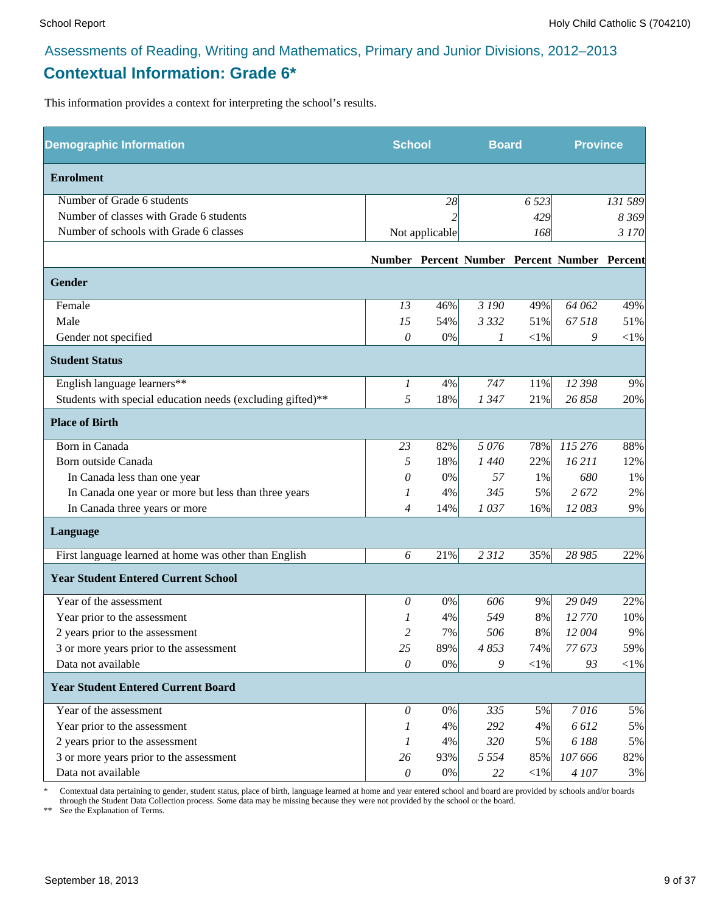# Assessments of Reading, Writing and Mathematics, Primary and Junior Divisions, 2012–2013 **Contextual Information: Grade 6\***

This information provides a context for interpreting the school's results.

| <b>Demographic Information</b>                             | <b>School</b>  |                | <b>Board</b> |        | <b>Province</b>                              |            |
|------------------------------------------------------------|----------------|----------------|--------------|--------|----------------------------------------------|------------|
| <b>Enrolment</b>                                           |                |                |              |        |                                              |            |
| Number of Grade 6 students                                 |                | 28             |              | 6 5 23 |                                              | 131 589    |
| Number of classes with Grade 6 students                    |                |                |              | 429    |                                              | 8 3 6 9    |
| Number of schools with Grade 6 classes                     |                | Not applicable |              | 168    |                                              | 3 170      |
|                                                            |                |                |              |        | Number Percent Number Percent Number Percent |            |
| <b>Gender</b>                                              |                |                |              |        |                                              |            |
| Female                                                     | 13             | 46%            | 3 190        | 49%    | 64 062                                       | 49%        |
| Male                                                       | 15             | 54%            | 3 3 3 2      | 51%    | 67518                                        | 51%        |
| Gender not specified                                       | 0              | 0%             | 1            | $<$ 1% | 9                                            | $<\!\!1\%$ |
| <b>Student Status</b>                                      |                |                |              |        |                                              |            |
| English language learners**                                | 1              | 4%             | 747          | 11%    | 12 398                                       | 9%         |
| Students with special education needs (excluding gifted)** | 5              | 18%            | 1 3 4 7      | 21%    | 26 858                                       | 20%        |
| <b>Place of Birth</b>                                      |                |                |              |        |                                              |            |
| Born in Canada                                             | 23             | 82%            | 5076         | 78%    | 115 276                                      | 88%        |
| Born outside Canada                                        | 5              | 18%            | 1440         | 22%    | 16 211                                       | 12%        |
| In Canada less than one year                               | 0              | $0\%$          | 57           | 1%     | 680                                          | 1%         |
| In Canada one year or more but less than three years       | 1              | 4%             | 345          | 5%     | 2672                                         | 2%         |
| In Canada three years or more                              | $\overline{4}$ | 14%            | 1037         | 16%    | 12083                                        | 9%         |
| Language                                                   |                |                |              |        |                                              |            |
| First language learned at home was other than English      | 6              | 21%            | 2312         | 35%    | 28 985                                       | 22%        |
| <b>Year Student Entered Current School</b>                 |                |                |              |        |                                              |            |
| Year of the assessment                                     | 0              | 0%             | 606          | 9%     | 29 049                                       | 22%        |
| Year prior to the assessment                               | 1              | 4%             | 549          | 8%     | 12 770                                       | 10%        |
| 2 years prior to the assessment                            | 2              | 7%             | 506          | 8%     | 12 004                                       | 9%         |
| 3 or more years prior to the assessment                    | 25             | 89%            | 4853         | 74%    | 77 673                                       | 59%        |
| Data not available                                         | $\mathcal O$   | 0%             | 9            | $<$ 1% | 93                                           | $<\!\!1\%$ |
| <b>Year Student Entered Current Board</b>                  |                |                |              |        |                                              |            |
| Year of the assessment                                     | 0              | 0%             | 335          | 5%     | 7016                                         | 5%         |
| Year prior to the assessment                               | 1              | 4%             | 292          | 4%     | 6612                                         | 5%         |
| 2 years prior to the assessment                            | 1              | 4%             | 320          | 5%     | 6188                                         | 5%         |
| 3 or more years prior to the assessment                    | 26             | 93%            | 5 5 5 4      | 85%    | 107 666                                      | 82%        |
| Data not available                                         | $\mathcal O$   | 0%             | 22           | $<$ 1% | 4 107                                        | 3%         |

\* Contextual data pertaining to gender, student status, place of birth, language learned at home and year entered school and board are provided by schools and/or boards through the Student Data Collection process. Some data may be missing because they were not provided by the school or the board.

\*\* See the Explanation of Terms.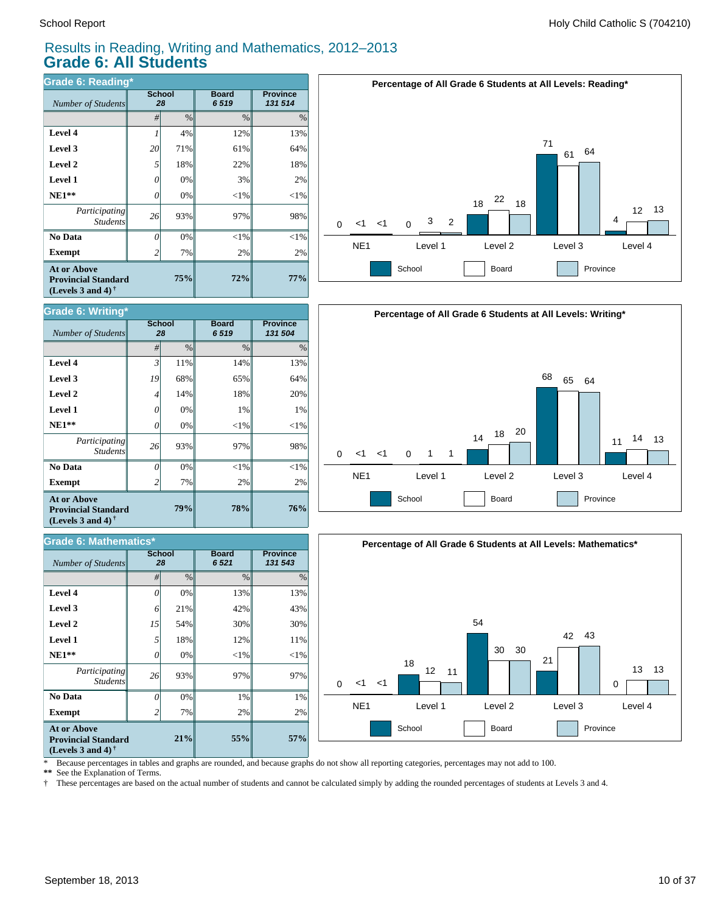#### Results in Reading, Writing and Mathematics, 2012–2013 **Grade 6: All Students**

| Grade 6: Reading*                                                              |                |                     |                      |                            |  |  |  |  |
|--------------------------------------------------------------------------------|----------------|---------------------|----------------------|----------------------------|--|--|--|--|
| Number of Students                                                             |                | <b>School</b><br>28 | <b>Board</b><br>6519 | <b>Province</b><br>131 514 |  |  |  |  |
|                                                                                | #              | $\%$                | $\frac{0}{0}$        | $\frac{0}{0}$              |  |  |  |  |
| Level 4                                                                        | 1              | 4%                  | 12%                  | 13%                        |  |  |  |  |
| Level 3                                                                        | 20             | 71%                 | 61%                  | 64%                        |  |  |  |  |
| Level 2                                                                        | $5^{\circ}$    | 18%                 | 22%                  | 18%                        |  |  |  |  |
| Level 1                                                                        | 0              | 0%                  | 3%                   | 2%                         |  |  |  |  |
| $NE1**$                                                                        | 0              | 0%                  | $<$ 1%               | ${<}1\%$                   |  |  |  |  |
| Participating<br><b>Students</b>                                               | 26             | 93%                 | 97%                  | 98%                        |  |  |  |  |
| No Data                                                                        | 0              | 0%                  | $<$ 1%               | $<$ 1%                     |  |  |  |  |
| <b>Exempt</b>                                                                  | $\overline{c}$ | 7%                  | 2%                   | 2%                         |  |  |  |  |
| <b>At or Above</b><br><b>Provincial Standard</b><br>(Levels 3 and 4) $\dagger$ | 75%            | 72%                 | 77%                  |                            |  |  |  |  |



# **Grade 6: Mathematics\***

| Number of Students                                                             | <b>School</b><br>28 |               | <b>Board</b><br>6521 | <b>Province</b><br>131 543 |
|--------------------------------------------------------------------------------|---------------------|---------------|----------------------|----------------------------|
|                                                                                | #                   | $\frac{0}{0}$ | $\frac{0}{0}$        | $\frac{0}{0}$              |
| Level 4                                                                        | 0                   | 0%            | 13%                  | 13%                        |
| Level 3                                                                        | 6                   | 21%           | 42%                  | 43%                        |
| Level 2                                                                        | 15                  | 54%           | 30%                  | 30%                        |
| <b>Level 1</b>                                                                 | 5                   | 18%           | 12%                  | 11%                        |
| $NE1**$                                                                        | 0                   | 0%            | $<$ 1%               | ${<}1\%$                   |
| Participating<br><b>Students</b>                                               | 26                  | 93%           | 97%                  | 97%                        |
| No Data                                                                        | 0                   | 0%            | 1%                   | 1%                         |
| <b>Exempt</b>                                                                  | 2                   | 7%            | 2%                   | 2%                         |
| <b>At or Above</b><br><b>Provincial Standard</b><br>(Levels 3 and 4) $\dagger$ |                     | 21%           | 55%                  | 57%                        |







\* Because percentages in tables and graphs are rounded, and because graphs do not show all reporting categories, percentages may not add to 100.

See the Explanation of Terms.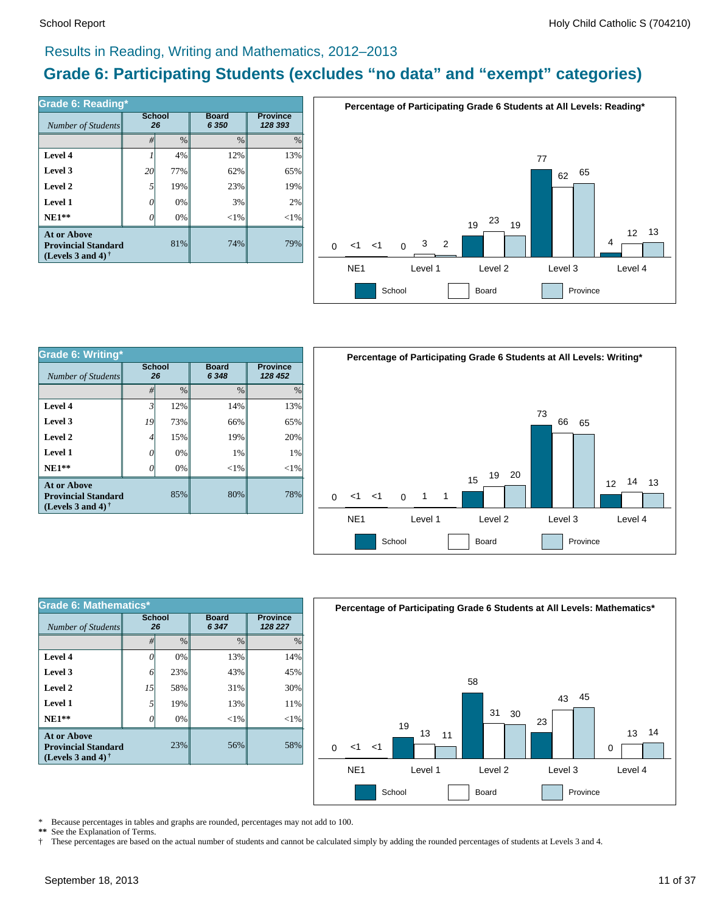#### Results in Reading, Writing and Mathematics, 2012–2013

# **Grade 6: Participating Students (excludes "no data" and "exempt" categories)**

| <b>Grade 6: Reading*</b>                                                          |                     |               |                         |                            |  |  |  |  |
|-----------------------------------------------------------------------------------|---------------------|---------------|-------------------------|----------------------------|--|--|--|--|
| Number of Students                                                                | <b>School</b><br>26 |               | <b>Board</b><br>6 3 5 0 | <b>Province</b><br>128 393 |  |  |  |  |
|                                                                                   | #                   | $\frac{0}{0}$ | $\%$                    | $\frac{0}{0}$              |  |  |  |  |
| Level 4                                                                           |                     | 4%            | 12%                     | 13%                        |  |  |  |  |
| Level 3                                                                           | 20                  | 77%           | 62%                     | 65%                        |  |  |  |  |
| Level 2                                                                           | .5                  | 19%           | 23%                     | 19%                        |  |  |  |  |
| Level 1                                                                           | Ω                   | 0%            | 3%                      | 2%                         |  |  |  |  |
| $NE1**$                                                                           |                     | 0%            | ${<}1\%$                | $<$ 1%                     |  |  |  |  |
| <b>At or Above</b><br><b>Provincial Standard</b><br>(Levels 3 and 4) $^{\dagger}$ |                     | 81%           | 74%                     | 79%                        |  |  |  |  |



| <b>Grade 6: Writing*</b>                                                       |    |                     |                         |                            |  |          | Per         |
|--------------------------------------------------------------------------------|----|---------------------|-------------------------|----------------------------|--|----------|-------------|
| Number of Students                                                             |    | <b>School</b><br>26 | <b>Board</b><br>6 3 4 8 | <b>Province</b><br>128 452 |  |          |             |
|                                                                                | #  | $\frac{0}{0}$       | $\frac{0}{0}$           | $\frac{0}{0}$              |  |          |             |
| Level 4                                                                        | 3  | 12%                 | 14%                     | 13%                        |  |          |             |
| Level 3                                                                        | 19 | 73%                 | 66%                     | 65%                        |  |          |             |
| Level 2                                                                        | 4  | 15%                 | 19%                     | 20%                        |  |          |             |
| Level 1                                                                        | 0  | $0\%$               | 1%                      | 1%                         |  |          |             |
| $NE1**$                                                                        | 0  | 0%                  | ${<}1\%$                | ${<}1\%$                   |  |          |             |
| <b>At or Above</b><br><b>Provincial Standard</b><br>(Levels 3 and 4) $\dagger$ |    | 85%                 | 80%                     | 78%                        |  | $\Omega$ | $<$ 1       |
|                                                                                |    |                     |                         |                            |  |          | <b>NIE:</b> |



| <b>Grade 6: Mathematics*</b>                                            |                     |               |                       |        |  |  |  |
|-------------------------------------------------------------------------|---------------------|---------------|-----------------------|--------|--|--|--|
| Number of Students                                                      | <b>School</b><br>26 |               | <b>Board</b><br>6 347 |        |  |  |  |
|                                                                         | #                   | $\frac{0}{0}$ | $\frac{0}{0}$         | $\%$   |  |  |  |
| Level 4                                                                 | 0                   | 0%            | 13%                   | 14%    |  |  |  |
| Level 3                                                                 | 6                   | 23%           | 43%                   | 45%    |  |  |  |
| Level 2                                                                 | 15                  | 58%           | 31%                   | 30%    |  |  |  |
| Level 1                                                                 | 5 <sup>1</sup>      | 19%           | 13%                   | 11%    |  |  |  |
| $NE1**$                                                                 | 0                   | 0%            | $<$ 1%                | $<$ 1% |  |  |  |
| At or Above<br><b>Provincial Standard</b><br>(Levels 3 and 4) $\dagger$ |                     | 23%           | 56%                   | 58%    |  |  |  |



Because percentages in tables and graphs are rounded, percentages may not add to 100.

\*\* See the Explanation of Terms.<br>† These percentages are based of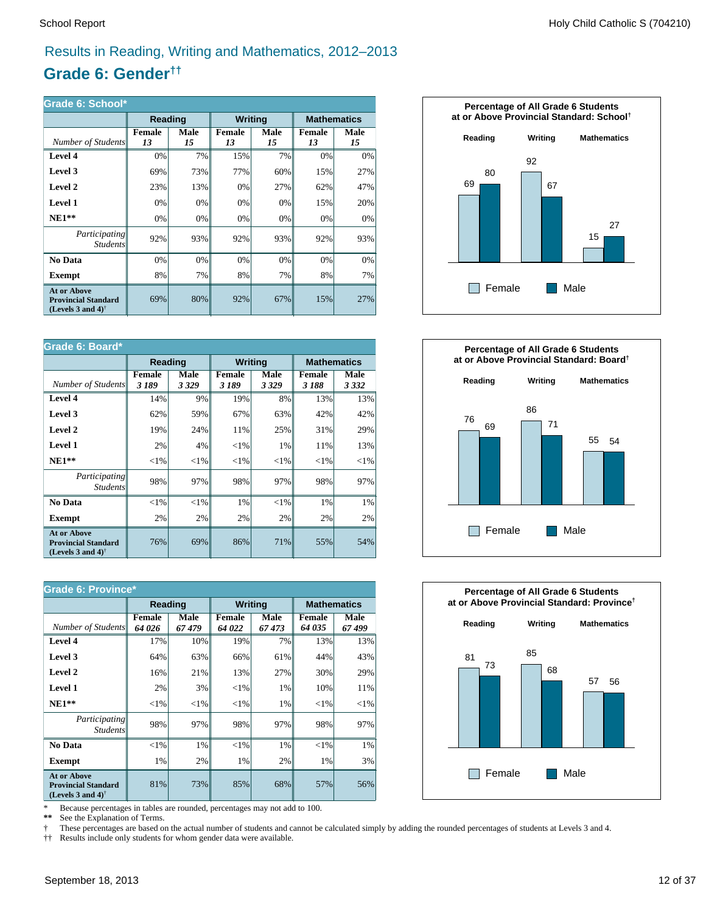### Results in Reading, Writing and Mathematics, 2012–2013

# **Grade 6: Gender††**

| Grade 6: School*                                                                  |              |            |              |                |                     |                    |  |  |
|-----------------------------------------------------------------------------------|--------------|------------|--------------|----------------|---------------------|--------------------|--|--|
|                                                                                   | Reading      |            |              | <b>Writing</b> |                     | <b>Mathematics</b> |  |  |
| Number of Students                                                                | Female<br>13 | Male<br>15 | Female<br>13 | Male<br>15     | <b>Female</b><br>13 | Male<br>15         |  |  |
| Level 4                                                                           | 0%           | 7%         | 15%          | 7%             | 0%                  | 0%                 |  |  |
| Level 3                                                                           | 69%          | 73%        | 77%          | 60%            | 15%                 | 27%                |  |  |
| Level 2                                                                           | 23%          | 13%        | 0%           | 27%            | 62%                 | 47%                |  |  |
| <b>Level 1</b>                                                                    | 0%           | 0%         | 0%           | $0\%$          | 15%                 | 20%                |  |  |
| $NE1**$                                                                           | 0%           | 0%         | 0%           | 0%             | 0%                  | 0%                 |  |  |
| <i>Participating</i><br><i>Students</i>                                           | 92%          | 93%        | 92%          | 93%            | 92%                 | 93%                |  |  |
| No Data                                                                           | 0%           | 0%         | 0%           | 0%             | $0\%$               | 0%                 |  |  |
| Exempt                                                                            | 8%           | 7%         | 8%           | 7%             | 8%                  | 7%                 |  |  |
| <b>At or Above</b><br><b>Provincial Standard</b><br>(Levels 3 and 4) <sup>†</sup> | 69%          | 80%        | 92%          | 67%            | 15%                 | 27%                |  |  |

| Grade 6: Board*                                                                                      |                       |              |                        |              |                |                    |  |
|------------------------------------------------------------------------------------------------------|-----------------------|--------------|------------------------|--------------|----------------|--------------------|--|
|                                                                                                      | Reading               |              | <b>Writing</b>         |              |                | <b>Mathematics</b> |  |
| Number of Students                                                                                   | <b>Female</b><br>3189 | Male<br>3329 | <b>Female</b><br>3 189 | Male<br>3329 | Female<br>3188 | Male<br>3 3 3 2    |  |
| Level 4                                                                                              | 14%                   | 9%           | 19%                    | 8%           | 13%            | 13%                |  |
| Level 3                                                                                              | 62%                   | 59%          | 67%                    | 63%          | 42%            | 42%                |  |
| Level 2                                                                                              | 19%                   | 24%          | 11%                    | 25%          | 31%            | 29%                |  |
| Level 1                                                                                              | 2%                    | 4%           | ${<}1\%$               | 1%           | 11%            | 13%                |  |
| $NE1**$                                                                                              | ${<}1\%$              | ${<}1\%$     | ${<}1\%$               | ${<}1\%$     | ${<}1\%$       | ${<}1\%$           |  |
| Participating<br><b>Students</b>                                                                     | 98%                   | 97%          | 98%                    | 97%          | 98%            | 97%                |  |
| No Data                                                                                              | ${<}1\%$              | ${<}1\%$     | 1%                     | ${<}1\%$     | 1%             | 1%                 |  |
| <b>Exempt</b>                                                                                        | 2%                    | 2%           | 2%                     | 2%           | 2%             | 2%                 |  |
| <b>At or Above</b><br><b>Provincial Standard</b><br>(Levels 3 and 4) <sup><math>\dagger</math></sup> | 76%                   | 69%          | 86%                    | 71%          | 55%            | 54%                |  |

| <b>Grade 6: Province*</b>                                                                            |                        |               |                 |               |                  |                    |  |
|------------------------------------------------------------------------------------------------------|------------------------|---------------|-----------------|---------------|------------------|--------------------|--|
|                                                                                                      | <b>Reading</b>         |               | <b>Writing</b>  |               |                  | <b>Mathematics</b> |  |
| Number of Students                                                                                   | <b>Female</b><br>64026 | Male<br>67479 | Female<br>64022 | Male<br>67473 | Female<br>64 035 | Male<br>67499      |  |
| Level 4                                                                                              | 17%                    | 10%           | 19%             | 7%            | 13%              | 13%                |  |
| Level 3                                                                                              | 64%                    | 63%           | 66%             | 61%           | 44%              | 43%                |  |
| Level 2                                                                                              | 16%                    | 21%           | 13%             | 27%           | 30%              | 29%                |  |
| Level 1                                                                                              | 2%                     | 3%            | ${<}1\%$        | 1%            | 10%              | 11%                |  |
| $NE1**$                                                                                              | ${<}1\%$               | ${<}1\%$      | ${<}1\%$        | 1%            | ${<}1\%$         | ${<}1\%$           |  |
| <i>Participating</i><br><b>Students</b>                                                              | 98%                    | 97%           | 98%             | 97%           | 98%              | 97%                |  |
| No Data                                                                                              | $<$ 1%                 | 1%            | $<$ 1%          | $1\%$         | ${<}1\%$         | 1%                 |  |
| <b>Exempt</b>                                                                                        | 1%                     | 2%            | 1%              | 2%            | 1%               | 3%                 |  |
| <b>At or Above</b><br><b>Provincial Standard</b><br>(Levels 3 and 4) <sup><math>\dagger</math></sup> | 81%                    | 73%           | 85%             | 68%           | 57%              | 56%                |  |

\* Because percentages in tables are rounded, percentages may not add to 100.<br>\*\* See the Explanation of Terms

See the Explanation of Terms.

† These percentages are based on the actual number of students and cannot be calculated simply by adding the rounded percentages of students at Levels 3 and 4.

†† Results include only students for whom gender data were available.





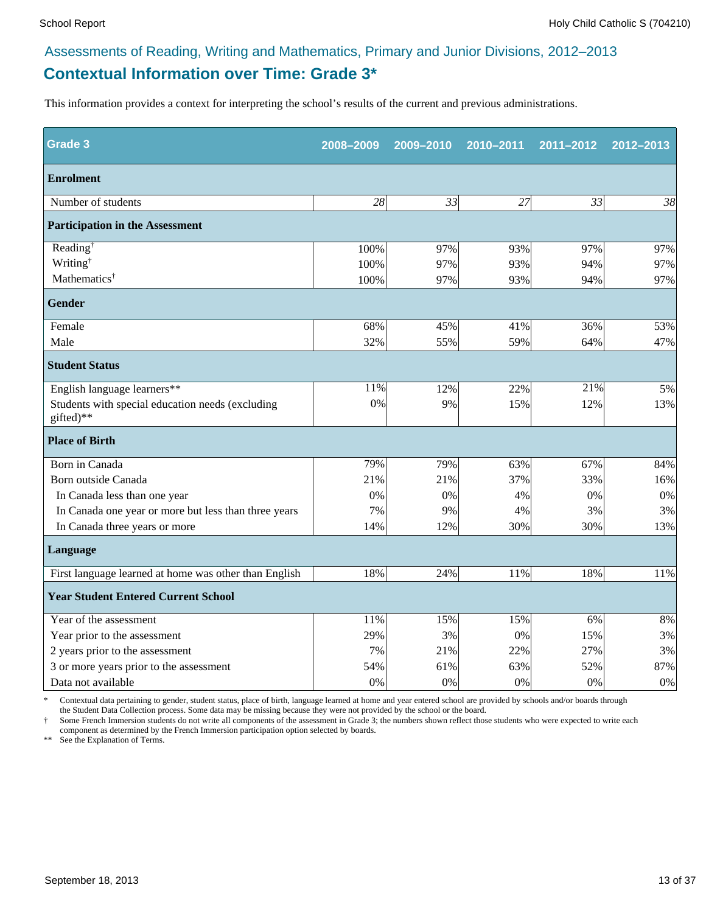# **Contextual Information over Time: Grade 3\***

This information provides a context for interpreting the school's results of the current and previous administrations.

| <b>Grade 3</b>                                                | 2008-2009 | 2009-2010 | 2010-2011 | 2011-2012 | 2012-2013 |
|---------------------------------------------------------------|-----------|-----------|-----------|-----------|-----------|
| <b>Enrolment</b>                                              |           |           |           |           |           |
| Number of students                                            | 28        | 33        | 27        | 33        | 38        |
| <b>Participation in the Assessment</b>                        |           |           |           |           |           |
| Reading <sup>†</sup>                                          | 100%      | 97%       | 93%       | 97%       | 97%       |
| Writing <sup>†</sup>                                          | 100%      | 97%       | 93%       | 94%       | 97%       |
| Mathematics <sup>†</sup>                                      | 100%      | 97%       | 93%       | 94%       | 97%       |
| <b>Gender</b>                                                 |           |           |           |           |           |
| Female                                                        | 68%       | 45%       | 41%       | 36%       | 53%       |
| Male                                                          | 32%       | 55%       | 59%       | 64%       | 47%       |
| <b>Student Status</b>                                         |           |           |           |           |           |
| English language learners**                                   | 11%       | 12%       | 22%       | 21%       | 5%        |
| Students with special education needs (excluding<br>gifted)** | 0%        | 9%        | 15%       | 12%       | 13%       |
| <b>Place of Birth</b>                                         |           |           |           |           |           |
| Born in Canada                                                | 79%       | 79%       | 63%       | 67%       | 84%       |
| Born outside Canada                                           | 21%       | 21%       | 37%       | 33%       | 16%       |
| In Canada less than one year                                  | 0%        | 0%        | 4%        | 0%        | 0%        |
| In Canada one year or more but less than three years          | 7%        | 9%        | 4%        | 3%        | 3%        |
| In Canada three years or more                                 | 14%       | 12%       | 30%       | 30%       | 13%       |
| Language                                                      |           |           |           |           |           |
| First language learned at home was other than English         | 18%       | 24%       | 11%       | 18%       | 11%       |
| <b>Year Student Entered Current School</b>                    |           |           |           |           |           |
| Year of the assessment                                        | 11%       | 15%       | 15%       | 6%        | 8%        |
| Year prior to the assessment                                  | 29%       | 3%        | 0%        | 15%       | 3%        |
| 2 years prior to the assessment                               | 7%        | 21%       | 22%       | 27%       | 3%        |
| 3 or more years prior to the assessment                       | 54%       | 61%       | 63%       | 52%       | 87%       |
| Data not available                                            | 0%        | 0%        | 0%        | 0%        | 0%        |

Contextual data pertaining to gender, student status, place of birth, language learned at home and year entered school are provided by schools and/or boards through the Student Data Collection process. Some data may be missing because they were not provided by the school or the board.

† Some French Immersion students do not write all components of the assessment in Grade 3; the numbers shown reflect those students who were expected to write each component as determined by the French Immersion participation option selected by boards.

\*\* See the Explanation of Terms.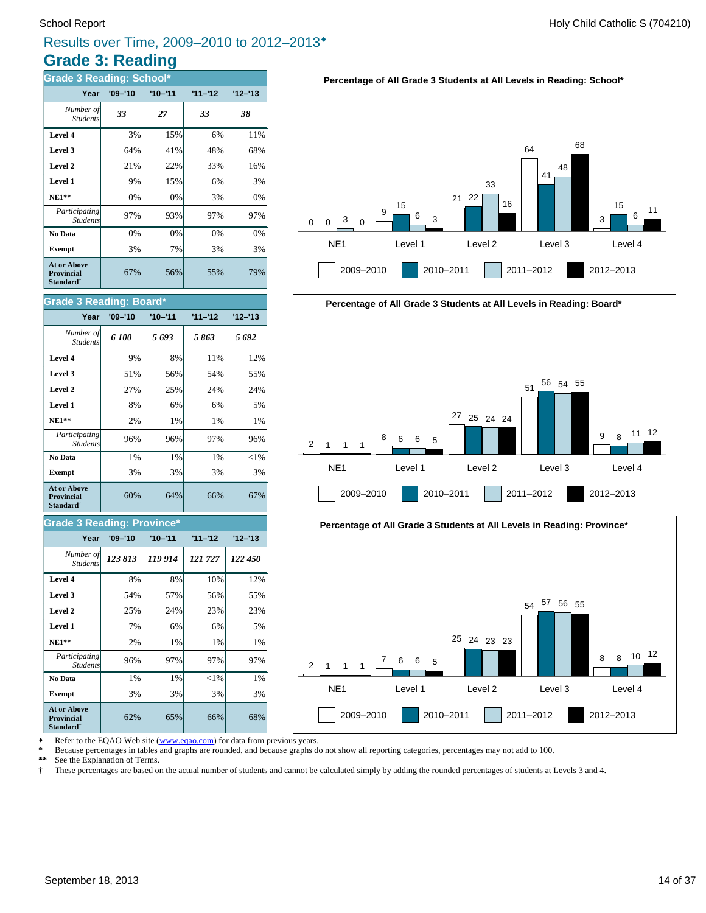# **Grade 3: Reading** Results over Time, 2009–2010 to 2012–2013®

| <b>Grade 3 Reading: School*</b>                                  |             |             |           |           |  |  |  |  |
|------------------------------------------------------------------|-------------|-------------|-----------|-----------|--|--|--|--|
| Year                                                             | $'09 - '10$ | $'10 - '11$ | $11 - 12$ | $12 - 13$ |  |  |  |  |
| Number of<br><b>Students</b>                                     | 33          | 27          | 33        | 38        |  |  |  |  |
| Level 4                                                          | 3%          | 15%         | 6%        | 11%       |  |  |  |  |
| Level 3                                                          | 64%         | 41%         | 48%       | 68%       |  |  |  |  |
| Level 2                                                          | 21%         | 22%         | 33%       | 16%       |  |  |  |  |
| <b>Level 1</b>                                                   | 9%          | 15%         | 6%        | 3%        |  |  |  |  |
| <b>NE1**</b>                                                     | 0%          | 0%          | 3%        | 0%        |  |  |  |  |
| Participating<br><b>Students</b>                                 | 97%         | 93%         | 97%       | 97%       |  |  |  |  |
| No Data                                                          | 0%          | 0%          | 0%        | 0%        |  |  |  |  |
| <b>Exempt</b>                                                    | 3%          | 7%          | 3%        | 3%        |  |  |  |  |
| At or Above<br><b>Provincial</b><br><b>Standard</b> <sup>†</sup> | 67%         | 56%         | 55%       | 79%       |  |  |  |  |

#### **Grade 3 Reading: Board\***

| Year                                                                    | $'09 - '10$ | $'10 - '11$ | $11 - 12$ | $12 - 13$ |
|-------------------------------------------------------------------------|-------------|-------------|-----------|-----------|
| Number of<br><b>Students</b>                                            | 6 100       | 5693        | 5863      | 5692      |
| Level 4                                                                 | 9%          | 8%          | 11%       | 12%       |
| Level 3                                                                 | 51%         | 56%         | 54%       | 55%       |
| Level 2                                                                 | 27%         | 25%         | 24%       | 24%       |
| Level 1                                                                 | 8%          | 6%          | 6%        | 5%        |
| $NE1**$                                                                 | 2%          | 1%          | 1%        | $1\%$     |
| Participating<br><b>Students</b>                                        | 96%         | 96%         | 97%       | 96%       |
| No Data                                                                 | 1%          | 1%          | 1%        | $< 1\%$   |
| <b>Exempt</b>                                                           | 3%          | 3%          | 3%        | 3%        |
| <b>At or Above</b><br><b>Provincial</b><br><b>Standard</b> <sup>†</sup> | 60%         | 64%         | 66%       | 67%       |

#### **Grade 3 Reading: Province\***

| Year                                                         | $'09 - '10$ | $'10 - '11$ | $11 - 12$ | $12 - 13$ |
|--------------------------------------------------------------|-------------|-------------|-----------|-----------|
| Number of<br><b>Students</b>                                 | 123 813     | 119914      | 121727    | 122 450   |
| Level 4                                                      | 8%          | 8%          | 10%       | 12%       |
| Level 3                                                      | 54%         | 57%         | 56%       | 55%       |
| Level 2                                                      | 25%         | 24%         | 23%       | 23%       |
| Level 1                                                      | 7%          | 6%          | 6%        | 5%        |
| <b>NE1**</b>                                                 | 2%          | 1%          | 1%        | 1%        |
| Participating<br><b>Students</b>                             | 96%         | 97%         | 97%       | 97%       |
| No Data                                                      | 1%          | 1%          | $<$ 1%    | 1%        |
| <b>Exempt</b>                                                | 3%          | 3%          | 3%        | 3%        |
| <b>At or Above</b><br><b>Provincial</b><br><b>Standard</b> † | 62%         | 65%         | 66%       | 68%       |











Refer to the EQAO Web site (www.eqao.com) for data from previous years.

\* Because percentages in tables and graphs are rounded, and because graphs do not show all reporting categories, percentages may not add to 100.

\*\* See the Explanation of Terms.<br><sup>†</sup> These percentages are based of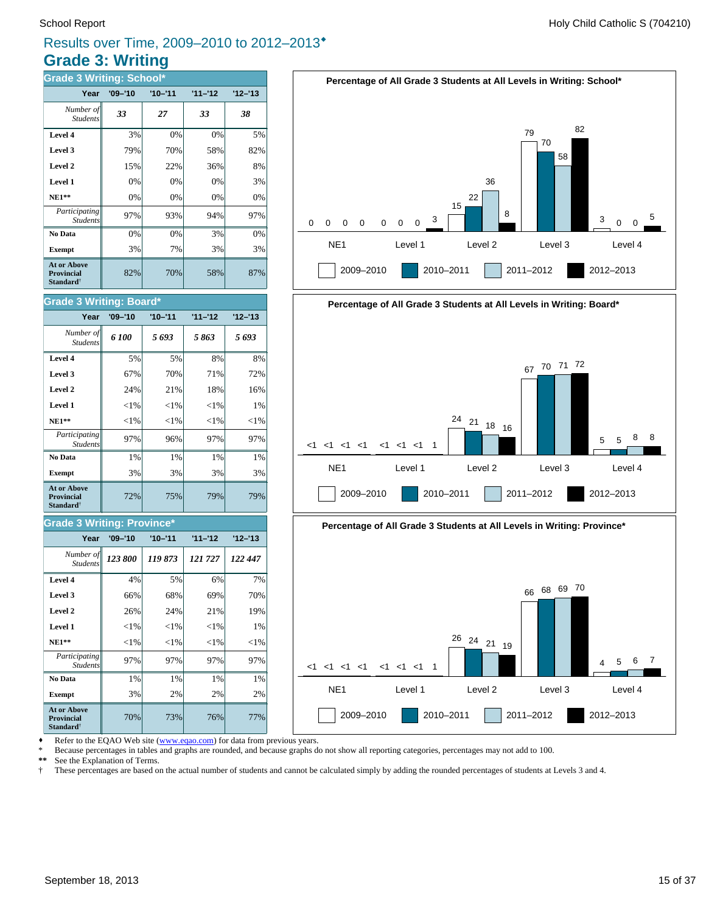# **Grade 3: Writing** Results over Time, 2009–2010 to 2012–2013®

| <b>Grade 3 Writing: School*</b>                                         |             |             |           |           |  |  |  |  |
|-------------------------------------------------------------------------|-------------|-------------|-----------|-----------|--|--|--|--|
| Year                                                                    | $'09 - '10$ | $'10 - '11$ | $11 - 12$ | $12 - 13$ |  |  |  |  |
| Number of<br><b>Students</b>                                            | 33          | 27          | 33        | 38        |  |  |  |  |
| Level 4                                                                 | 3%          | 0%          | 0%        | 5%        |  |  |  |  |
| Level 3                                                                 | 79%         | 70%         | 58%       | 82%       |  |  |  |  |
| Level 2                                                                 | 15%         | 22%         | 36%       | 8%        |  |  |  |  |
| Level 1                                                                 | 0%          | 0%          | 0%        | 3%        |  |  |  |  |
| <b>NE1**</b>                                                            | 0%          | 0%          | 0%        | 0%        |  |  |  |  |
| Participating<br><b>Students</b>                                        | 97%         | 93%         | 94%       | 97%       |  |  |  |  |
| No Data                                                                 | 0%          | 0%          | 3%        | 0%        |  |  |  |  |
| <b>Exempt</b>                                                           | 3%          | 7%          | 3%        | 3%        |  |  |  |  |
| <b>At or Above</b><br><b>Provincial</b><br><b>Standard</b> <sup>†</sup> | 82%         | 70%         | 58%       | 87%       |  |  |  |  |

#### **Grade 3 Writing: Board\***

| Year                                                             | $'09 - '10$ | $'10 - '11$ | $11 - 12$ | $12 - 13$ |
|------------------------------------------------------------------|-------------|-------------|-----------|-----------|
| Number of<br><b>Students</b>                                     | 6 100       | 5693        | 5863      | 5693      |
| Level 4                                                          | 5%          | 5%          | 8%        | 8%        |
| Level 3                                                          | 67%         | 70%         | 71%       | 72%       |
| Level 2                                                          | 24%         | 21%         | 18%       | 16%       |
| Level 1                                                          | $<$ 1%      | ${<}1\%$    | $<$ 1%    | 1%        |
| $NE1**$                                                          | ${<}1\%$    | ${<}1\%$    | ${<}1\%$  | ${<}1\%$  |
| Participating<br><b>Students</b>                                 | 97%         | 96%         | 97%       | 97%       |
| No Data                                                          | 1%          | 1%          | 1%        | 1%        |
| <b>Exempt</b>                                                    | 3%          | 3%          | 3%        | 3%        |
| <b>At or Above</b><br><b>Provincial</b><br>Standard <sup>†</sup> | 72%         | 75%         | 79%       | 79%       |

#### **Grade 3 Writing: Province\***

| Year                                                                    | $'09 - '10$ | $'10 - '11$ | $11 - 12$ | $12 - 13$ |
|-------------------------------------------------------------------------|-------------|-------------|-----------|-----------|
| Number of<br><b>Students</b>                                            | 123 800     | 119873      | 121727    | 122 447   |
| Level 4                                                                 | 4%          | 5%          | 6%        | 7%        |
| Level 3                                                                 | 66%         | 68%         | 69%       | 70%       |
| Level 2                                                                 | 26%         | 24%         | 21%       | 19%       |
| Level 1                                                                 | ${<}1\%$    | ${<}1\%$    | $<$ 1%    | 1%        |
| <b>NE1**</b>                                                            | $<$ 1%      | ${<}1\%$    | $<$ 1%    | ${<}1\%$  |
| <i>Participating</i><br><b>Students</b>                                 | 97%         | 97%         | 97%       | 97%       |
| No Data                                                                 | 1%          | 1%          | 1%        | 1%        |
| <b>Exempt</b>                                                           | 3%          | 2%          | 2%        | 2%        |
| <b>At or Above</b><br><b>Provincial</b><br><b>Standard</b> <sup>†</sup> | 70%         | 73%         | 76%       | 77%       |











Refer to the EQAO Web site (www.eqao.com) for data from previous years.

\* Because percentages in tables and graphs are rounded, and because graphs do not show all reporting categories, percentages may not add to 100.

\*\* See the Explanation of Terms.<br><sup>†</sup> These percentages are based of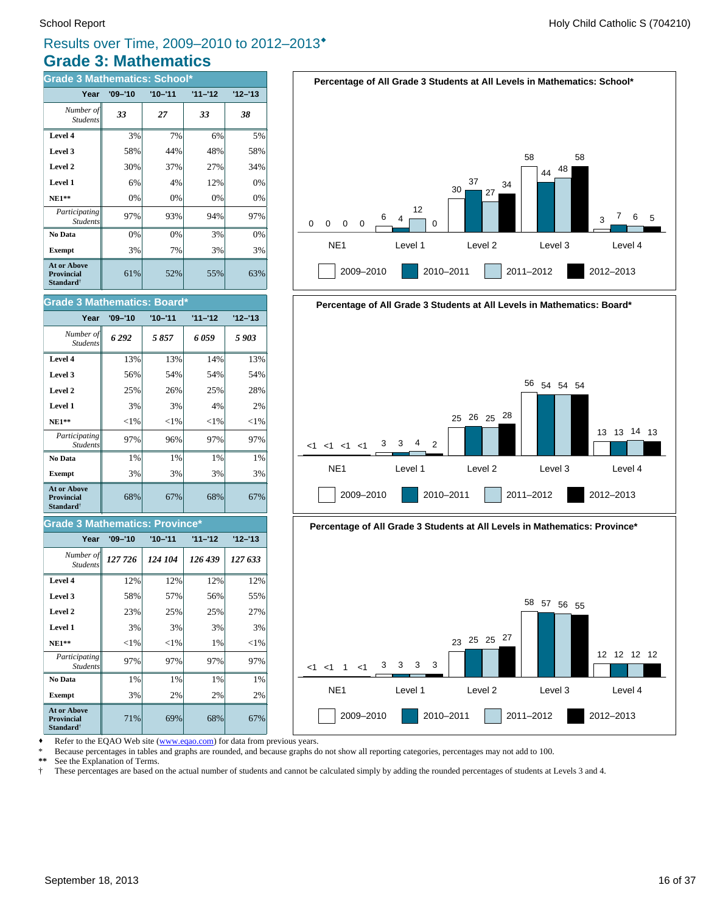# **Grade 3: Mathematics** Results over Time, 2009–2010 to 2012–2013®

| <b>Grade 3 Mathematics: School*</b>                              |             |             |           |            |
|------------------------------------------------------------------|-------------|-------------|-----------|------------|
| Year                                                             | $'09 - '10$ | $'10 - '11$ | $11 - 12$ | $'12 - 13$ |
| Number of<br><b>Students</b>                                     | 33          | 27          | 33        | 38         |
| Level 4                                                          | 3%          | 7%          | 6%        | 5%         |
| Level 3                                                          | 58%         | 44%         | 48%       | 58%        |
| Level 2                                                          | 30%         | 37%         | 27%       | 34%        |
| Level 1                                                          | 6%          | 4%          | 12%       | 0%         |
| $NE1**$                                                          | $0\%$       | 0%          | 0%        | $0\%$      |
| Participating<br><b>Students</b>                                 | 97%         | 93%         | 94%       | 97%        |
| No Data                                                          | 0%          | 0%          | 3%        | 0%         |
| <b>Exempt</b>                                                    | 3%          | 7%          | 3%        | 3%         |
| <b>At or Above</b><br><b>Provincial</b><br>Standard <sup>†</sup> | 61%         | 52%         | 55%       | 63%        |

68% 67% 68% 67% **Exempt**  $\begin{vmatrix} 3\% & 3\% \end{vmatrix}$  3% 3% 3% **No Data**  $\begin{array}{|c|c|c|c|} \hline \textbf{No Data} & 1\% & 1\% & 1\% \hline \end{array}$ *Participating* 97% 96% 97% 97% *StudentsX* **NE1\*\***  $\| \le 1\% \| \le 1\% \| \le 1\% \| \le 1\%$ **Level 1** 3% 3% 4% 2% **Level 2**  $\begin{array}{|c|c|c|c|} \hline \end{array}$  25% 25% 28% **Level 3**  $\begin{vmatrix} 56\% & 54\% \end{vmatrix}$  54% 54% 54% **Level 4** 13% 13% 14% 14% 13% *6 292 5 857 6 059 5 903 Number of* Student. **Year '09–'10 '10–'11 '11–'12 '12–'13 Grade 3 Mathematics: Board\* At or Above Provincial Standard**†

#### **Grade 3 Mathematics: Province\***

| Year                                                        | $'09 - '10$ | $'10 - '11$ | $11 - 12$ | $12 - 13$ |
|-------------------------------------------------------------|-------------|-------------|-----------|-----------|
| Number of<br><b>Students</b>                                | 127 726     | 124 104     | 126 439   | 127 633   |
| Level 4                                                     | 12%         | 12%         | 12%       | 12%       |
| Level 3                                                     | 58%         | 57%         | 56%       | 55%       |
| Level 2                                                     | 23%         | 25%         | 25%       | 27%       |
| Level 1                                                     | 3%          | 3%          | 3%        | 3%        |
| $NE1**$                                                     | $<$ 1%      | ${<}1\%$    | 1%        | ${<}1\%$  |
| Participating<br><b>Students</b>                            | 97%         | 97%         | 97%       | 97%       |
| No Data                                                     | 1%          | 1%          | 1%        | 1%        |
| <b>Exempt</b>                                               | 3%          | 2%          | 2%        | 2%        |
| <b>At or Above</b><br><b>Provincial</b><br><b>Standard†</b> | 71%         | 69%         | 68%       | 67%       |











Refer to the EQAO Web site (www.eqao.com) for data from previous years.

\* Because percentages in tables and graphs are rounded, and because graphs do not show all reporting categories, percentages may not add to 100.<br>\*\* See the Explanation of Terms

\*\* See the Explanation of Terms.<br>
<sup>†</sup> These percentages are based on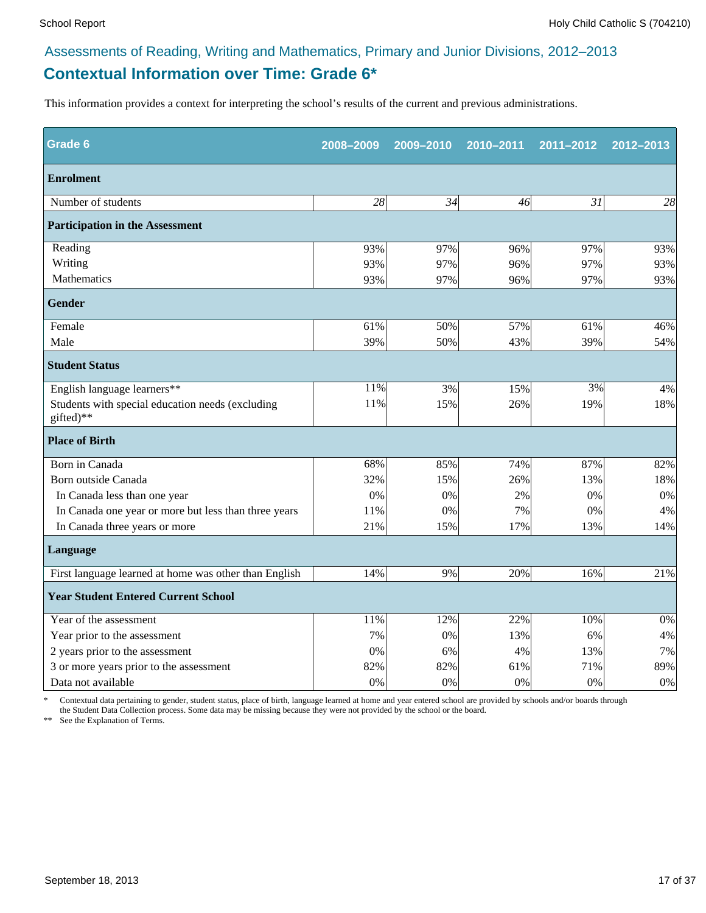# **Contextual Information over Time: Grade 6\***

This information provides a context for interpreting the school's results of the current and previous administrations.

| <b>Grade 6</b>                                                | 2008-2009 | 2009-2010 | 2010-2011 | 2011-2012 | 2012-2013 |
|---------------------------------------------------------------|-----------|-----------|-----------|-----------|-----------|
| <b>Enrolment</b>                                              |           |           |           |           |           |
| Number of students                                            | 28        | 34        | 46        | 31        | 28        |
| <b>Participation in the Assessment</b>                        |           |           |           |           |           |
| Reading                                                       | 93%       | 97%       | 96%       | 97%       | 93%       |
| Writing                                                       | 93%       | 97%       | 96%       | 97%       | 93%       |
| Mathematics                                                   | 93%       | 97%       | 96%       | 97%       | 93%       |
| <b>Gender</b>                                                 |           |           |           |           |           |
| Female                                                        | 61%       | 50%       | 57%       | 61%       | 46%       |
| Male                                                          | 39%       | 50%       | 43%       | 39%       | 54%       |
| <b>Student Status</b>                                         |           |           |           |           |           |
| English language learners**                                   | 11%       | 3%        | 15%       | 3%        | 4%        |
| Students with special education needs (excluding<br>gifted)** | 11%       | 15%       | 26%       | 19%       | 18%       |
| <b>Place of Birth</b>                                         |           |           |           |           |           |
| Born in Canada                                                | 68%       | 85%       | 74%       | 87%       | 82%       |
| Born outside Canada                                           | 32%       | 15%       | 26%       | 13%       | 18%       |
| In Canada less than one year                                  | 0%        | 0%        | 2%        | 0%        | 0%        |
| In Canada one year or more but less than three years          | 11%       | 0%        | 7%        | 0%        | 4%        |
| In Canada three years or more                                 | 21%       | 15%       | 17%       | 13%       | 14%       |
| Language                                                      |           |           |           |           |           |
| First language learned at home was other than English         | 14%       | 9%        | 20%       | 16%       | 21%       |
| <b>Year Student Entered Current School</b>                    |           |           |           |           |           |
| Year of the assessment                                        | 11%       | 12%       | 22%       | 10%       | 0%        |
| Year prior to the assessment                                  | 7%        | 0%        | 13%       | 6%        | 4%        |
| 2 years prior to the assessment                               | 0%        | 6%        | 4%        | 13%       | 7%        |
| 3 or more years prior to the assessment                       | 82%       | 82%       | 61%       | 71%       | 89%       |
| Data not available                                            | 0%        | 0%        | 0%        | 0%        | 0%        |

\* Contextual data pertaining to gender, student status, place of birth, language learned at home and year entered school are provided by schools and/or boards through the Student Data Collection process. Some data may be missing because they were not provided by the school or the board.

\*\* See the Explanation of Terms.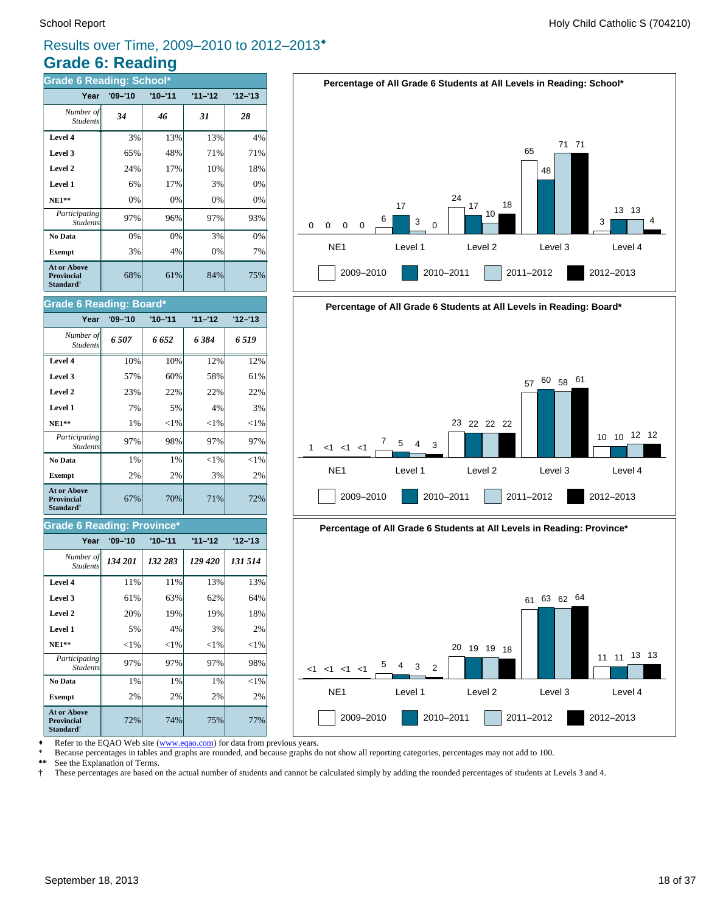# **Grade 6: Reading** Results over Time, 2009–2010 to 2012–2013®

| <b>Grade 6 Reading: School*</b>                                  |             |             |           |           |  |
|------------------------------------------------------------------|-------------|-------------|-----------|-----------|--|
| Year                                                             | $'09 - '10$ | $'10 - '11$ | $11 - 12$ | $12 - 13$ |  |
| Number of<br><b>Students</b>                                     | 34          | 46          | 31        | 28        |  |
| Level 4                                                          | 3%          | 13%         | 13%       | 4%        |  |
| Level 3                                                          | 65%         | 48%         | 71%       | 71%       |  |
| Level 2                                                          | 24%         | 17%         | 10%       | 18%       |  |
| Level 1                                                          | 6%          | 17%         | 3%        | 0%        |  |
| $NE1**$                                                          | 0%          | 0%          | 0%        | 0%        |  |
| Participating<br><b>Students</b>                                 | 97%         | 96%         | 97%       | 93%       |  |
| No Data                                                          | 0%          | 0%          | 3%        | 0%        |  |
| <b>Exempt</b>                                                    | 3%          | 4%          | 0%        | 7%        |  |
| At or Above<br><b>Provincial</b><br><b>Standard</b> <sup>†</sup> | 68%         | 61%         | 84%       | 75%       |  |

| Grade 6 Reading: Board*                                          |             |             |           |           |  |
|------------------------------------------------------------------|-------------|-------------|-----------|-----------|--|
| Year                                                             | $'09 - '10$ | $'10 - '11$ | $11 - 12$ | $12 - 13$ |  |
| Number of<br><b>Students</b>                                     | 6507        | 6 652       | 6 384     | 6 5 19    |  |
| Level 4                                                          | 10%         | 10%         | 12%       | 12%       |  |
| Level 3                                                          | 57%         | 60%         | 58%       | 61%       |  |
| Level 2                                                          | 23%         | 22%         | 22%       | 22%       |  |
| Level 1                                                          | 7%          | 5%          | 4%        | 3%        |  |
| $NE1**$                                                          | 1%          | ${<}1\%$    | ${<}1\%$  | ${<}1\%$  |  |
| Participating<br><b>Students</b>                                 | 97%         | 98%         | 97%       | 97%       |  |
| No Data                                                          | 1%          | 1%          | ${<}1\%$  | ${<}1\%$  |  |
| <b>Exempt</b>                                                    | 2%          | 2%          | 3%        | 2%        |  |
| <b>At or Above</b><br><b>Provincial</b><br>Standard <sup>†</sup> | 67%         | 70%         | 71%       | 72%       |  |

#### **Grade 6 Reading: Province\***

| Year                                                                    | $'09 - '10$ | $'10 - '11$ | $11 - 12$ | $12 - 13$ |
|-------------------------------------------------------------------------|-------------|-------------|-----------|-----------|
| Number of<br><b>Students</b>                                            | 134 201     | 132 283     | 129 420   | 131 514   |
| Level 4                                                                 | 11%         | 11%         | 13%       | 13%       |
| Level 3                                                                 | 61%         | 63%         | 62%       | 64%       |
| Level 2                                                                 | 20%         | 19%         | 19%       | 18%       |
| Level 1                                                                 | 5%          | 4%          | 3%        | 2%        |
| <b>NE1**</b>                                                            | ${<}1\%$    | $<$ 1%      | ${<}1\%$  | ${<}1\%$  |
| Participating<br><b>Students</b>                                        | 97%         | 97%         | 97%       | 98%       |
| No Data                                                                 | 1%          | 1%          | 1%        | $<$ 1%    |
| <b>Exempt</b>                                                           | 2%          | 2%          | 2%        | 2%        |
| <b>At or Above</b><br><b>Provincial</b><br><b>Standard</b> <sup>†</sup> | 72%         | 74%         | 75%       | 77%       |







• Refer to the EQAO Web site (www.eqao.com) for data from previous years.

\* Because percentages in tables and graphs are rounded, and because graphs do not show all reporting categories, percentages may not add to 100.

\*\* See the Explanation of Terms.<br><sup>†</sup> These percentages are based on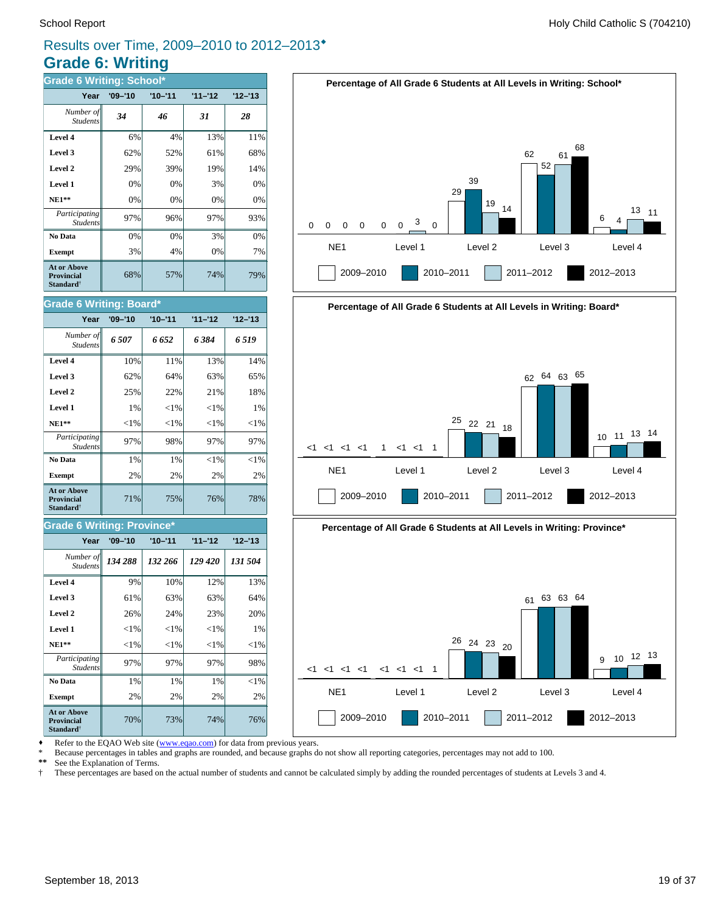# **Grade 6: Writing** Results over Time, 2009–2010 to 2012–2013<sup>\*</sup>

| <b>Grade 6 Writing: School*</b>                                         |             |             |           |           |  |
|-------------------------------------------------------------------------|-------------|-------------|-----------|-----------|--|
| Year                                                                    | $'09 - '10$ | $'10 - '11$ | $11 - 12$ | $12 - 13$ |  |
| Number of<br><b>Students</b>                                            | 34          | 46          | 31        | 28        |  |
| Level 4                                                                 | 6%          | 4%          | 13%       | 11%       |  |
| Level 3                                                                 | 62%         | 52%         | 61%       | 68%       |  |
| Level 2                                                                 | 29%         | 39%         | 19%       | 14%       |  |
| Level 1                                                                 | 0%          | 0%          | 3%        | 0%        |  |
| $NE1**$                                                                 | 0%          | 0%          | 0%        | 0%        |  |
| Participating<br><b>Students</b>                                        | 97%         | 96%         | 97%       | 93%       |  |
| No Data                                                                 | 0%          | 0%          | 3%        | 0%        |  |
| <b>Exempt</b>                                                           | 3%          | 4%          | 0%        | 7%        |  |
| <b>At or Above</b><br><b>Provincial</b><br><b>Standard</b> <sup>†</sup> | 68%         | 57%         | 74%       | 79%       |  |

#### **Grade 6 Writing: Board\***

| Year                                                             | $'09 - '10$ | $'10 - '11$ | $11 - 12$ | $12 - 13$ |
|------------------------------------------------------------------|-------------|-------------|-----------|-----------|
| Number of<br><b>Students</b>                                     | 6.507       | 6 652       | 6384      | 6.519     |
| Level 4                                                          | 10%         | 11%         | 13%       | 14%       |
| Level 3                                                          | 62%         | 64%         | 63%       | 65%       |
| Level 2                                                          | 25%         | 22%         | 21%       | 18%       |
| Level 1                                                          | 1%          | ${<}1\%$    | ${<}1\%$  | 1%        |
| $NE1**$                                                          | ${<}1\%$    | ${<}1\%$    | ${<}1\%$  | ${<}1\%$  |
| Participating<br><b>Students</b>                                 | 97%         | 98%         | 97%       | 97%       |
| No Data                                                          | 1%          | 1%          | ${<}1\%$  | ${<}1\%$  |
| <b>Exempt</b>                                                    | 2%          | 2%          | 2%        | 2%        |
| At or Above<br><b>Provincial</b><br><b>Standard</b> <sup>†</sup> | 71%         | 75%         | 76%       | 78%       |

#### **Grade 6 Writing: Province\***

| Year                                                             | $'09 - '10$ | $'10 - '11$ | $11 - 12$ | $12 - 13$ |
|------------------------------------------------------------------|-------------|-------------|-----------|-----------|
| Number of<br><b>Students</b>                                     | 134 288     | 132 266     | 129 420   | 131 504   |
| Level 4                                                          | 9%          | 10%         | 12%       | 13%       |
| Level 3                                                          | 61%         | 63%         | 63%       | 64%       |
| Level 2                                                          | 26%         | 24%         | 23%       | 20%       |
| Level 1                                                          | ${<}1\%$    | $<$ l $%$   | ${<}1\%$  | $1\%$     |
| $NE1**$                                                          | $<$ 1%      | $<$ 1%      | ${<}1\%$  | ${<}1\%$  |
| <i>Participating</i><br><b>Students</b>                          | 97%         | 97%         | 97%       | 98%       |
| No Data                                                          | 1%          | 1%          | 1%        | $<$ 1%    |
| <b>Exempt</b>                                                    | 2%          | 2%          | 2%        | 2%        |
| <b>At or Above</b><br>Provincial<br><b>Standard</b> <sup>†</sup> | 70%         | 73%         | 74%       | 76%       |











• Refer to the EQAO Web site (www.eqao.com) for data from previous years.

\* Because percentages in tables and graphs are rounded, and because graphs do not show all reporting categories, percentages may not add to 100.

\*\* See the Explanation of Terms.<br><sup>†</sup> These percentages are based on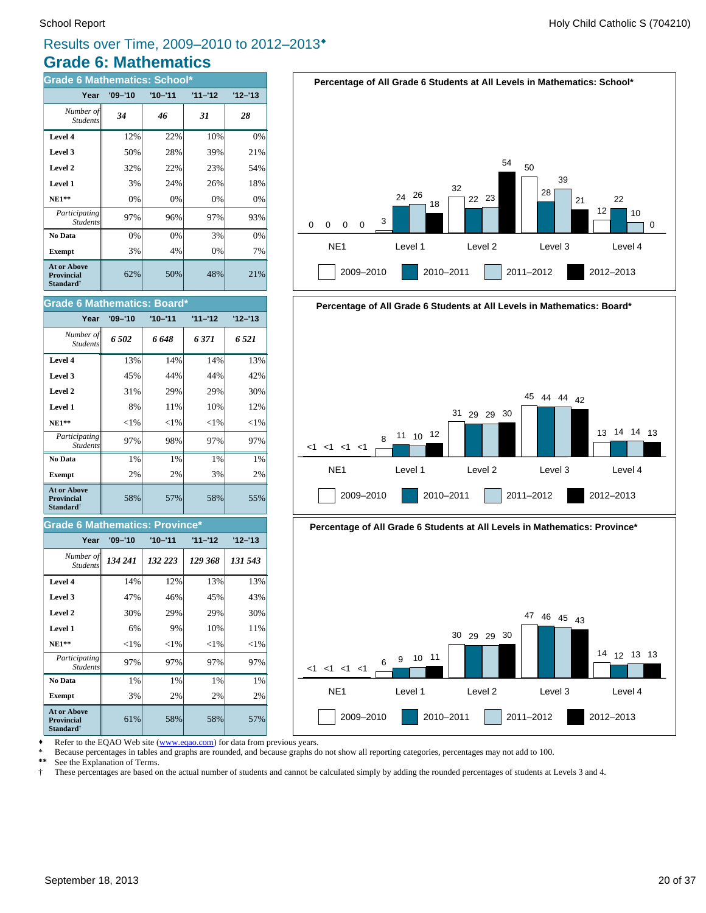# **Grade 6: Mathematics** Results over Time, 2009–2010 to 2012–2013<sup>\*</sup>

| <b>Grade 6 Mathematics: School*</b>                                     |             |             |           |           |
|-------------------------------------------------------------------------|-------------|-------------|-----------|-----------|
| Year                                                                    | $'09 - '10$ | $'10 - '11$ | $11 - 12$ | $12 - 13$ |
| Number of<br><b>Students</b>                                            | 34          | 46          | 31        | 28        |
| Level 4                                                                 | 12%         | 22%         | 10%       | 0%        |
| Level 3                                                                 | 50%         | 28%         | 39%       | 21%       |
| Level 2                                                                 | 32%         | 22%         | 23%       | 54%       |
| Level 1                                                                 | 3%          | 24%         | 26%       | 18%       |
| $NE1**$                                                                 | 0%          | 0%          | 0%        | 0%        |
| Participating<br><b>Students</b>                                        | 97%         | 96%         | 97%       | 93%       |
| No Data                                                                 | 0%          | 0%          | 3%        | 0%        |
| <b>Exempt</b>                                                           | 3%          | 4%          | 0%        | 7%        |
| <b>At or Above</b><br><b>Provincial</b><br><b>Standard</b> <sup>†</sup> | 62%         | 50%         | 48%       | 21%       |

58% 57% 58% 55% **Exempt** 2% 2% 3% 2% **No Data**  $\begin{vmatrix} 1\% & 1\% \end{vmatrix}$  1% 1% 1% 1%  $\begin{array}{c|c|c|c|c} \text{Participating} & 97\% & 98\% & 97\% \end{array}$ Student **NE1\*\***  $|\hspace{-.06cm}1\%| \hspace{-.06cm} <1\%| \hspace{-.06cm} <1\%$   $|\hspace{-.06cm}1\%| \hspace{-.06cm} <1\%$ **Level 1** 8% 11% 10% 12% **Level 2**  $\begin{array}{|c|c|c|c|c|} \hline \end{array}$  31% 29% 29% 30% **Level 3 45% 44% 44% 44% 42% Level 4** 13% 14% 14% 13% *6 502 6 648 6 371 6 521 Number of* Student. **Year '09–'10 '10–'11 '11–'12 '12–'13 Grade 6 Mathematics: Board\* At or Above Provincial Standard**†

#### **Grade 6 Mathematics: Province\***

| Year                                                                    | $'09 - '10$ | $'10 - '11$ | $11 - 12$ | $12 - 13$ |
|-------------------------------------------------------------------------|-------------|-------------|-----------|-----------|
| Number of<br><b>Students</b>                                            | 134 241     | 132 223     | 129 368   | 131 543   |
| Level 4                                                                 | 14%         | 12%         | 13%       | 13%       |
| Level 3                                                                 | 47%         | 46%         | 45%       | 43%       |
| Level 2                                                                 | 30%         | 29%         | 29%       | 30%       |
| Level 1                                                                 | 6%          | 9%          | 10%       | 11%       |
| $NE1**$                                                                 | ${<}1\%$    | ${<}1\%$    | ${<}1\%$  | ${<}1\%$  |
| Participating<br><b>Students</b>                                        | 97%         | 97%         | 97%       | 97%       |
| No Data                                                                 | 1%          | 1%          | 1%        | 1%        |
| <b>Exempt</b>                                                           | 3%          | 2%          | 2%        | 2%        |
| <b>At or Above</b><br><b>Provincial</b><br><b>Standard</b> <sup>†</sup> | 61%         | 58%         | 58%       | 57%       |









Refer to the EQAO Web site (www.eqao.com) for data from previous years.

\* Because percentages in tables and graphs are rounded, and because graphs do not show all reporting categories, percentages may not add to 100.

See the Explanation of Terms.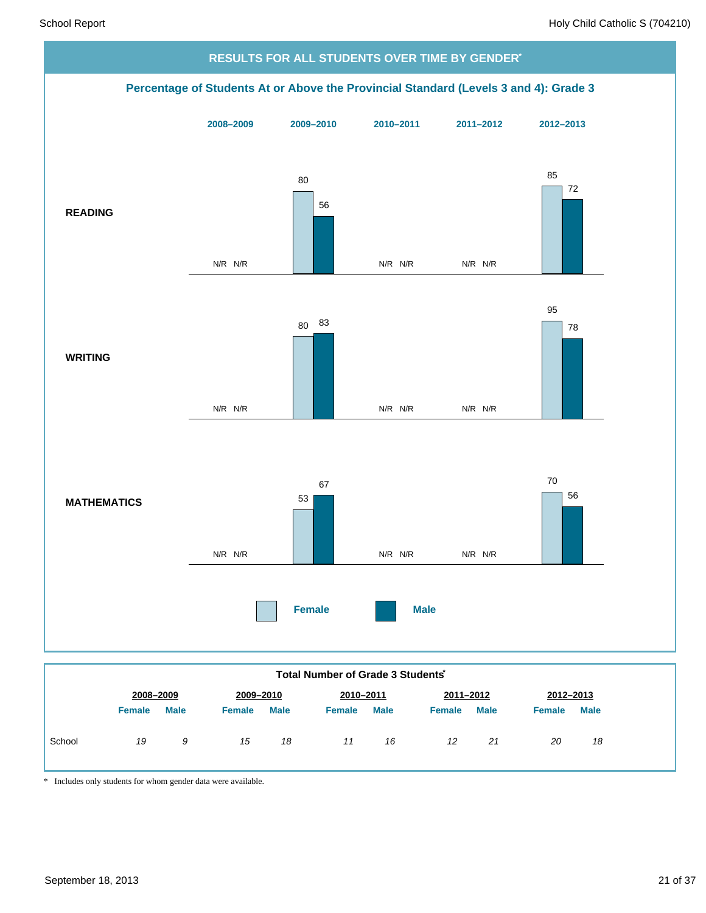

|        | Total Number of Grade 3 Students |                        |               |             |               |                        |               |             |               |             |  |
|--------|----------------------------------|------------------------|---------------|-------------|---------------|------------------------|---------------|-------------|---------------|-------------|--|
|        |                                  | 2008-2009<br>2009-2010 |               |             |               | 2011-2012<br>2010-2011 |               |             | 2012-2013     |             |  |
|        | <b>Female</b>                    | <b>Male</b>            | <b>Female</b> | <b>Male</b> | <b>Female</b> | <b>Male</b>            | <b>Female</b> | <b>Male</b> | <b>Female</b> | <b>Male</b> |  |
| School | 19                               | 9                      | 15            | 18          | 11            | 16                     | 12            | 21          | 20            | 18          |  |

\* Includes only students for whom gender data were available.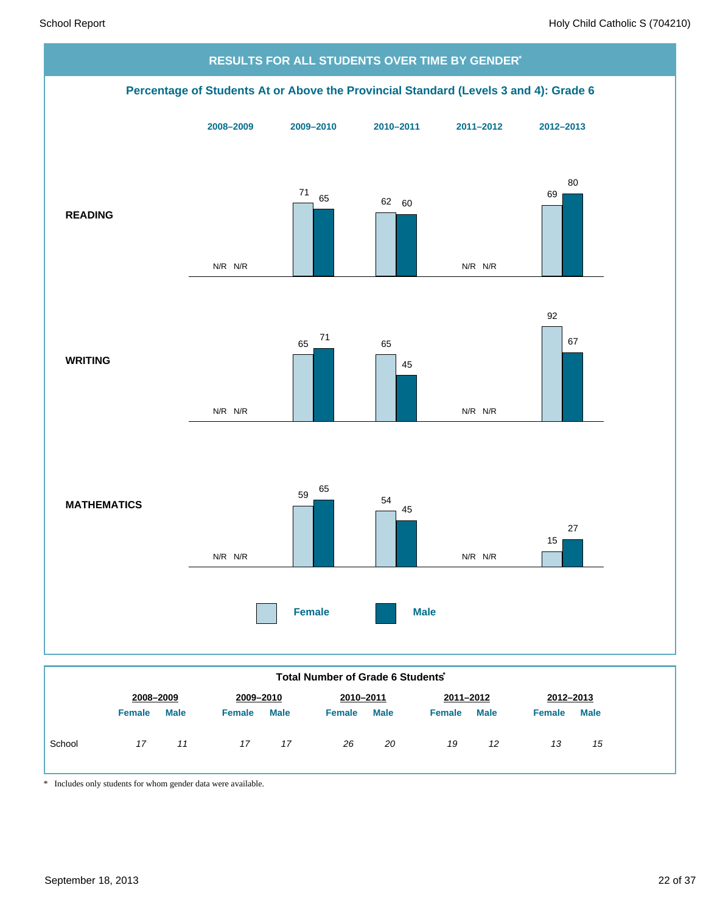

\* Includes only students for whom gender data were available.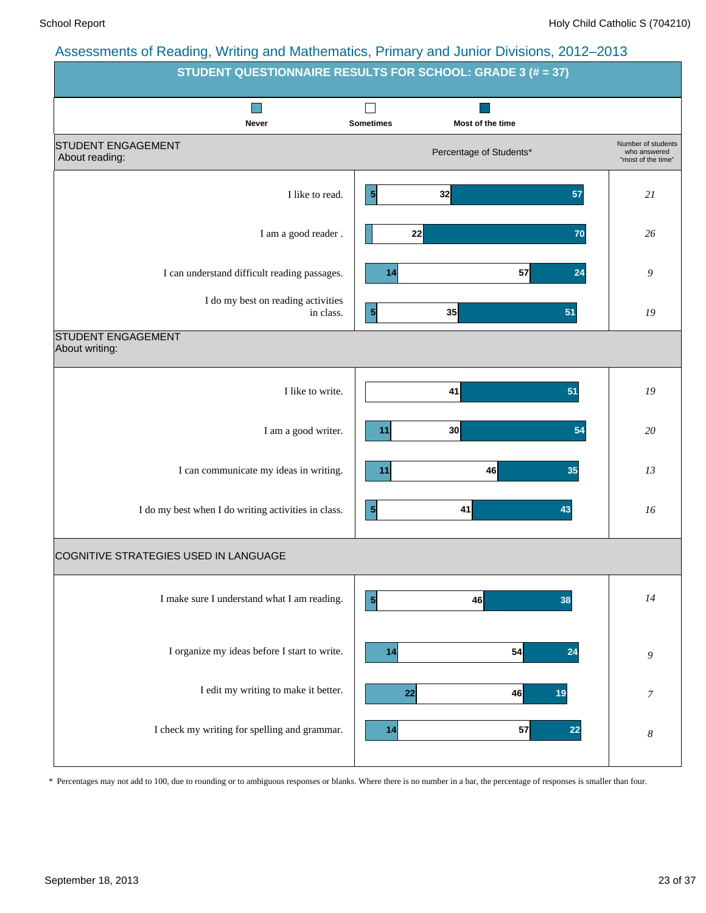| STUDENT QUESTIONNAIRE RESULTS FOR SCHOOL: GRADE 3 (# = 37) |                                      |                                                          |  |  |  |  |  |  |  |
|------------------------------------------------------------|--------------------------------------|----------------------------------------------------------|--|--|--|--|--|--|--|
| <b>College</b><br>Never                                    | <b>Sometimes</b><br>Most of the time |                                                          |  |  |  |  |  |  |  |
| <b>STUDENT ENGAGEMENT</b><br>About reading:                | Percentage of Students*              | Number of students<br>who answered<br>"most of the time" |  |  |  |  |  |  |  |
| I like to read.                                            | $\vert 5 \vert$<br>32<br>57          | 21                                                       |  |  |  |  |  |  |  |
| I am a good reader.                                        | 22<br>70                             | 26                                                       |  |  |  |  |  |  |  |
| I can understand difficult reading passages.               | 57<br>24<br>14                       | 9                                                        |  |  |  |  |  |  |  |
| I do my best on reading activities<br>in class.            | 35<br>$\vert 5 \vert$<br>51          | 19                                                       |  |  |  |  |  |  |  |
| <b>STUDENT ENGAGEMENT</b><br>About writing:                |                                      |                                                          |  |  |  |  |  |  |  |
| I like to write.                                           | 41<br>51                             | 19                                                       |  |  |  |  |  |  |  |
| I am a good writer.                                        | 30<br>54<br>11                       | 20                                                       |  |  |  |  |  |  |  |
| I can communicate my ideas in writing.                     | 46<br>35<br>11                       | 13                                                       |  |  |  |  |  |  |  |
| I do my best when I do writing activities in class.        | 41<br>$\vert 5 \vert$<br>43          | 16                                                       |  |  |  |  |  |  |  |
| COGNITIVE STRATEGIES USED IN LANGUAGE                      |                                      |                                                          |  |  |  |  |  |  |  |
| I make sure I understand what I am reading.                | 5 <sub>l</sub><br>46<br>38           | 14                                                       |  |  |  |  |  |  |  |
| I organize my ideas before I start to write.               | 54<br>24<br>14                       | 9                                                        |  |  |  |  |  |  |  |
| I edit my writing to make it better.                       | 46<br>22<br>19                       | 7                                                        |  |  |  |  |  |  |  |
| I check my writing for spelling and grammar.               | 57<br>14<br>22                       | 8                                                        |  |  |  |  |  |  |  |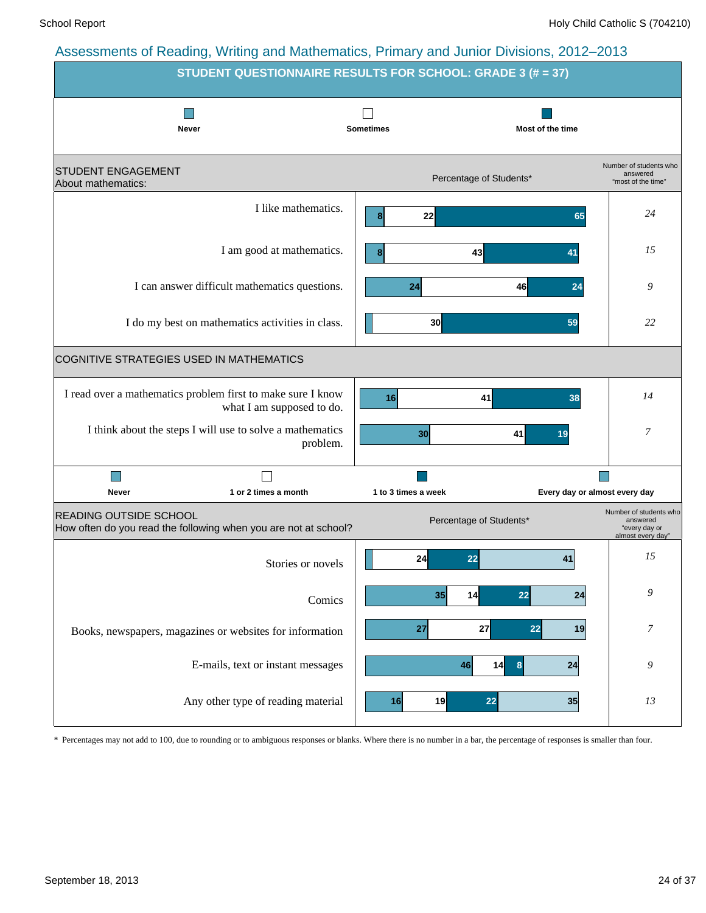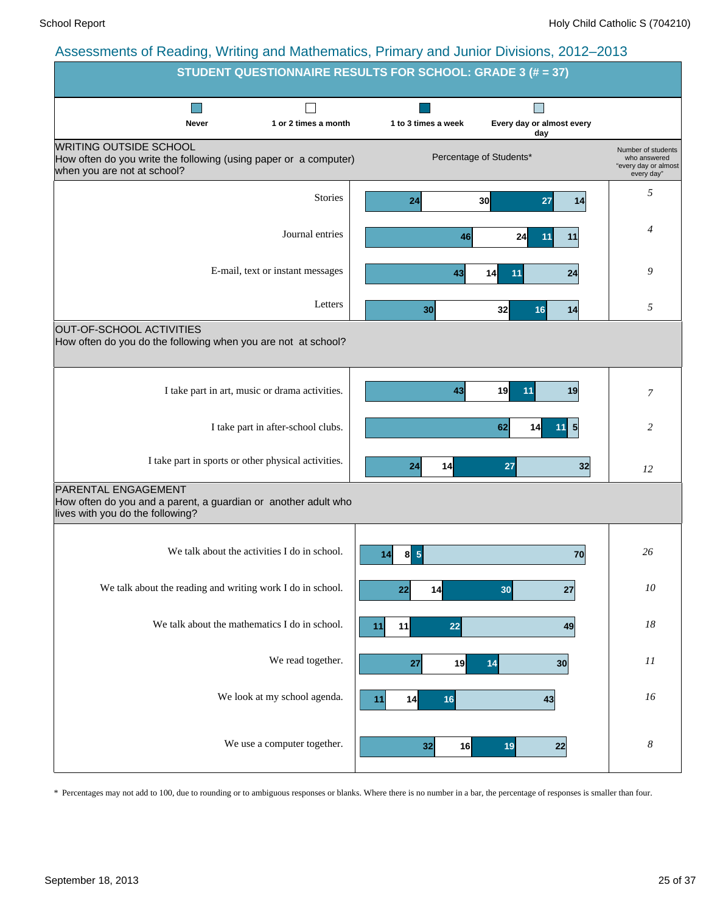|                                                                                                                                  | STUDENT QUESTIONNAIRE RESULTS FOR SCHOOL: GRADE 3 (# = 37)                                          |  |  |  |  |  |  |  |  |  |  |
|----------------------------------------------------------------------------------------------------------------------------------|-----------------------------------------------------------------------------------------------------|--|--|--|--|--|--|--|--|--|--|
| 1 or 2 times a month<br>Never                                                                                                    | 1 to 3 times a week<br>Every day or almost every<br>day                                             |  |  |  |  |  |  |  |  |  |  |
| <b>WRITING OUTSIDE SCHOOL</b><br>How often do you write the following (using paper or a computer)<br>when you are not at school? | Number of students<br>Percentage of Students*<br>who answered<br>"every day or almost<br>every day" |  |  |  |  |  |  |  |  |  |  |
|                                                                                                                                  | 5<br><b>Stories</b><br>27<br>30 <sub>0</sub><br>24<br>14                                            |  |  |  |  |  |  |  |  |  |  |
| Journal entries                                                                                                                  | 4<br>46<br>24<br>11<br>11                                                                           |  |  |  |  |  |  |  |  |  |  |
| E-mail, text or instant messages                                                                                                 | 9<br>43<br>14<br>11<br>24                                                                           |  |  |  |  |  |  |  |  |  |  |
|                                                                                                                                  | Letters<br>5<br>30<br>32<br>16<br>14                                                                |  |  |  |  |  |  |  |  |  |  |
| OUT-OF-SCHOOL ACTIVITIES<br>How often do you do the following when you are not at school?                                        |                                                                                                     |  |  |  |  |  |  |  |  |  |  |
| I take part in art, music or drama activities.                                                                                   | 43<br>19<br>11<br>19<br>7                                                                           |  |  |  |  |  |  |  |  |  |  |
| I take part in after-school clubs.                                                                                               | 62<br>2<br>14<br>$\overline{\mathbf{5}}$                                                            |  |  |  |  |  |  |  |  |  |  |
| I take part in sports or other physical activities.                                                                              | 14<br>27<br>32<br>24<br>12                                                                          |  |  |  |  |  |  |  |  |  |  |
| PARENTAL ENGAGEMENT<br>How often do you and a parent, a guardian or another adult who<br>lives with you do the following?        |                                                                                                     |  |  |  |  |  |  |  |  |  |  |
| We talk about the activities I do in school.                                                                                     | 26<br>$8 \overline{\phantom{0}} 5$<br>70<br>14                                                      |  |  |  |  |  |  |  |  |  |  |
| We talk about the reading and writing work I do in school.                                                                       | ${\it 10}$<br>22<br>14<br>30<br>27                                                                  |  |  |  |  |  |  |  |  |  |  |
| We talk about the mathematics I do in school.                                                                                    | 18<br>11<br>22<br>11<br>49                                                                          |  |  |  |  |  |  |  |  |  |  |
| We read together.                                                                                                                | 11<br>27<br>19<br>14<br>30                                                                          |  |  |  |  |  |  |  |  |  |  |
| We look at my school agenda.                                                                                                     | 16<br>14<br>43<br>16<br>11                                                                          |  |  |  |  |  |  |  |  |  |  |
| We use a computer together.                                                                                                      | $\boldsymbol{8}$<br>32<br>16<br>19<br>22                                                            |  |  |  |  |  |  |  |  |  |  |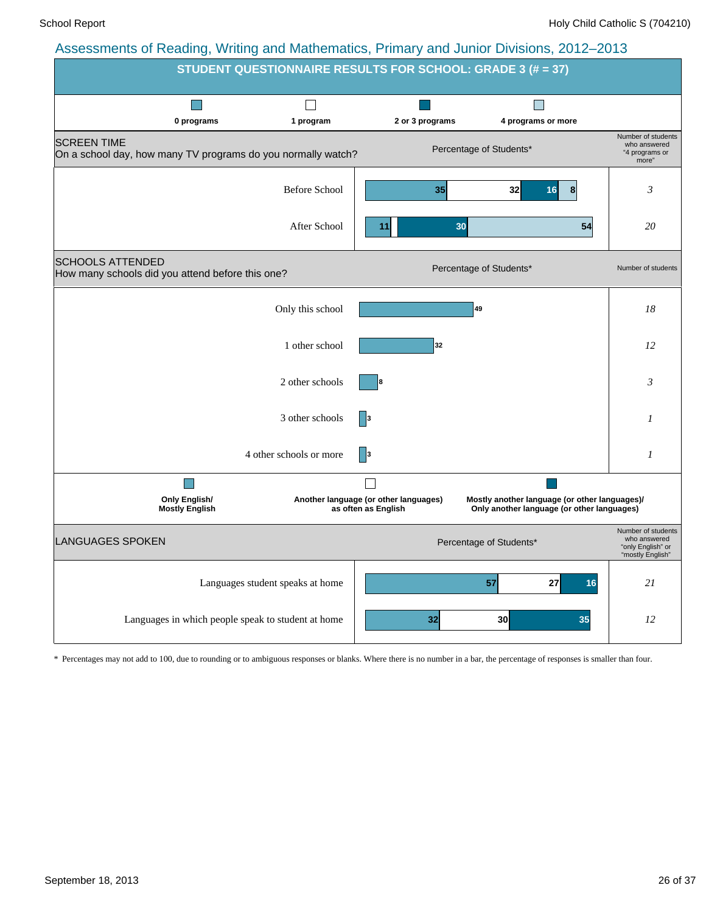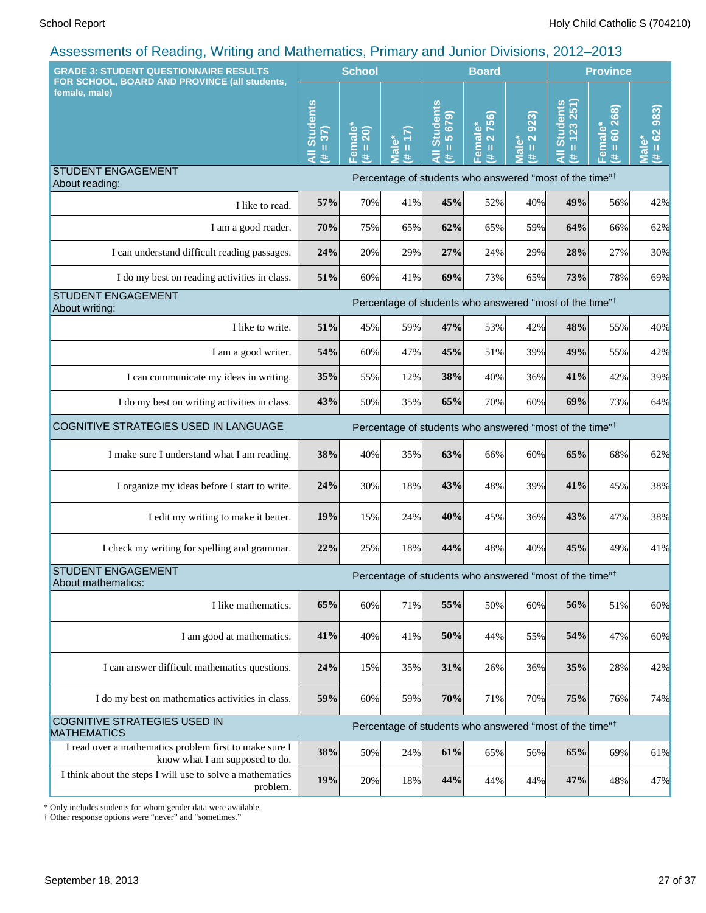| <b>GRADE 3: STUDENT QUESTIONNAIRE RESULTS</b>                                            |                                                                     | <b>School</b>                            |                                       | <b>Board</b>                                                  |                                       |                                                           | <b>Province</b>                                                     |                                                             |                                            |
|------------------------------------------------------------------------------------------|---------------------------------------------------------------------|------------------------------------------|---------------------------------------|---------------------------------------------------------------|---------------------------------------|-----------------------------------------------------------|---------------------------------------------------------------------|-------------------------------------------------------------|--------------------------------------------|
| FOR SCHOOL, BOARD AND PROVINCE (all students,<br>female, male)                           | <b>Students</b><br>37)<br>$\mathbf H$<br>$\overline{a}$<br>进        | emale<br>$\overline{20}$<br>$\,$ II<br>美 | g<br><b>Male*</b><br>$\mathbf u$<br>巷 | <b>Students</b><br><b>679</b><br>ဖြ<br>$\rm H$<br>।<br>द<br>违 | 2756)<br>Female*<br>$\mathbf{u}$<br>进 | 923)<br>$\overline{\mathbf{N}}$<br>Male*<br>$\rm H$<br>y. | <b>Students</b><br>$= 123251$<br>$\overline{a}$<br>进                | 268<br>Female*<br>$\overline{6}$<br>$\bar{\mathbf{u}}$<br>违 | 983)<br>$= 62$<br>$\bullet$<br>_<br>Σ<br>逃 |
| <b>STUDENT ENGAGEMENT</b><br>About reading:                                              |                                                                     |                                          |                                       |                                                               |                                       |                                                           | Percentage of students who answered "most of the time" <sup>†</sup> |                                                             |                                            |
| I like to read.                                                                          | 57%                                                                 | 70%                                      | 41%                                   | 45%                                                           | 52%                                   | 40%                                                       | 49%                                                                 | 56%                                                         | 42%                                        |
| I am a good reader.                                                                      | 70%                                                                 | 75%                                      | 65%                                   | 62%                                                           | 65%                                   | 59%                                                       | 64%                                                                 | 66%                                                         | 62%                                        |
| I can understand difficult reading passages.                                             | 24%                                                                 | 20%                                      | 29%                                   | 27%                                                           | 24%                                   | 29%                                                       | 28%                                                                 | 27%                                                         | 30%                                        |
| I do my best on reading activities in class.                                             | 51%                                                                 | 60%                                      | 41%                                   | 69%                                                           | 73%                                   | 65%                                                       | 73%                                                                 | 78%                                                         | 69%                                        |
| <b>STUDENT ENGAGEMENT</b><br>About writing:                                              |                                                                     |                                          |                                       |                                                               |                                       |                                                           | Percentage of students who answered "most of the time" <sup>†</sup> |                                                             |                                            |
| I like to write.                                                                         | 51%                                                                 | 45%                                      | 59%                                   | 47%                                                           | 53%                                   | 42%                                                       | 48%                                                                 | 55%                                                         | 40%                                        |
| I am a good writer.                                                                      | 54%                                                                 | 60%                                      | 47%                                   | 45%                                                           | 51%                                   | 39%                                                       | 49%                                                                 | 55%                                                         | 42%                                        |
| I can communicate my ideas in writing.                                                   | 35%                                                                 | 55%                                      | 12%                                   | 38%                                                           | 40%                                   | 36%                                                       | 41%                                                                 | 42%                                                         | 39%                                        |
| I do my best on writing activities in class.                                             | 43%                                                                 | 50%                                      | 35%                                   | 65%                                                           | 70%                                   | 60%                                                       | 69%                                                                 | 73%                                                         | 64%                                        |
| COGNITIVE STRATEGIES USED IN LANGUAGE                                                    | Percentage of students who answered "most of the time" <sup>†</sup> |                                          |                                       |                                                               |                                       |                                                           |                                                                     |                                                             |                                            |
| I make sure I understand what I am reading.                                              | 38%                                                                 | 40%                                      | 35%                                   | 63%                                                           | 66%                                   | 60%                                                       | 65%                                                                 | 68%                                                         | 62%                                        |
| I organize my ideas before I start to write.                                             | 24%                                                                 | 30%                                      | 18%                                   | 43%                                                           | 48%                                   | 39%                                                       | 41%                                                                 | 45%                                                         | 38%                                        |
| I edit my writing to make it better.                                                     | 19%                                                                 | 15%                                      | 24%                                   | 40%                                                           | 45%                                   | 36%                                                       | 43%                                                                 | 47%                                                         | 38%                                        |
| I check my writing for spelling and grammar.                                             | 22%                                                                 | 25%                                      | 18%                                   | 44%                                                           | 48%                                   | 40%                                                       | 45%                                                                 | 49%                                                         | 41%                                        |
| STUDENT ENGAGEMENT<br>About mathematics:                                                 |                                                                     |                                          |                                       |                                                               |                                       |                                                           | Percentage of students who answered "most of the time" <sup>†</sup> |                                                             |                                            |
| I like mathematics.                                                                      | 65%                                                                 | 60%                                      | 71%                                   | 55%                                                           | 50%                                   | 60%                                                       | 56%                                                                 | 51%                                                         | 60%                                        |
| I am good at mathematics.                                                                | 41%                                                                 | 40%                                      | 41%                                   | 50%                                                           | 44%                                   | 55%                                                       | 54%                                                                 | 47%                                                         | 60%                                        |
| I can answer difficult mathematics questions.                                            | 24%                                                                 | 15%                                      | 35%                                   | 31%                                                           | 26%                                   | 36%                                                       | 35%                                                                 | 28%                                                         | 42%                                        |
| I do my best on mathematics activities in class.                                         | 59%                                                                 | 60%                                      | 59%                                   | 70%                                                           | 71%                                   | 70%                                                       | 75%                                                                 | 76%                                                         | 74%                                        |
| COGNITIVE STRATEGIES USED IN<br><b>MATHEMATICS</b>                                       |                                                                     |                                          |                                       |                                                               |                                       |                                                           | Percentage of students who answered "most of the time" <sup>†</sup> |                                                             |                                            |
| I read over a mathematics problem first to make sure I<br>know what I am supposed to do. | 38%                                                                 | 50%                                      | 24%                                   | 61%                                                           | 65%                                   | 56%                                                       | 65%                                                                 | 69%                                                         | 61%                                        |
| I think about the steps I will use to solve a mathematics<br>problem.                    | 19%                                                                 | 20%                                      | 18%                                   | 44%                                                           | 44%                                   | 44%                                                       | 47%                                                                 | 48%                                                         | 47%                                        |

\* Only includes students for whom gender data were available.

† Other response options were "never" and "sometimes."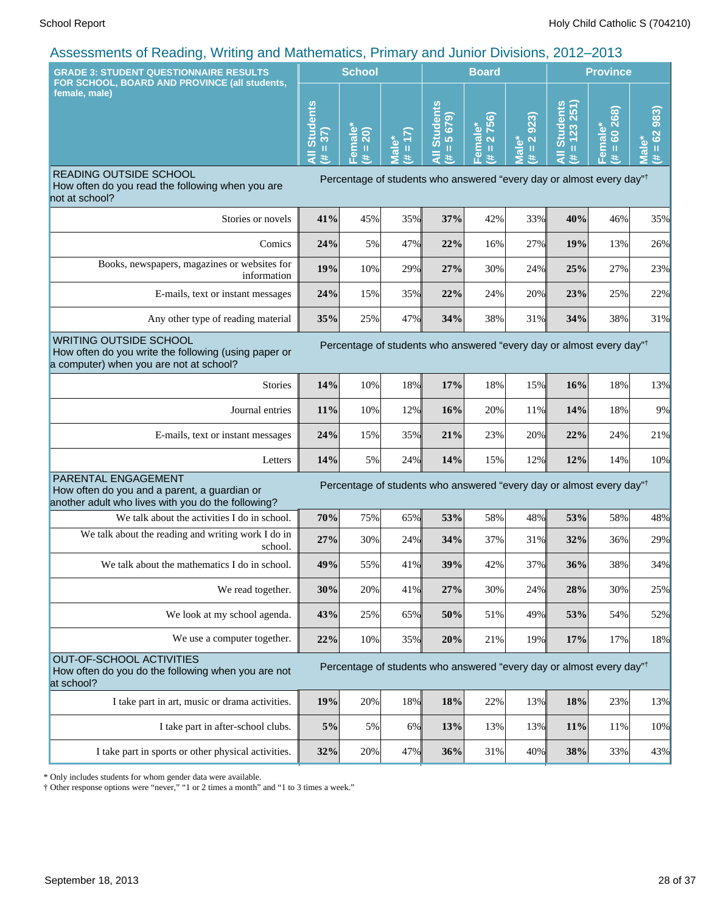| <b>GRADE 3: STUDENT QUESTIONNAIRE RESULTS</b><br>FOR SCHOOL, BOARD AND PROVINCE (all students,                                   |                                  | <b>School</b>                 |                                              |                                                                                  | <b>Board</b>                        |                                                                      |                                                             | <b>Province</b>                         |                                                          |
|----------------------------------------------------------------------------------------------------------------------------------|----------------------------------|-------------------------------|----------------------------------------------|----------------------------------------------------------------------------------|-------------------------------------|----------------------------------------------------------------------|-------------------------------------------------------------|-----------------------------------------|----------------------------------------------------------|
| female, male)                                                                                                                    | <b>Students</b><br>37)<br>Ш<br>₹ | 'emale<br>20)<br>Ш<br>进<br>Œ. | ۫ؖ۫ۛڡ<br>Ш<br>$\overline{\mathfrak{a}}$<br>共 | <b>Students</b><br>(673)<br>lo.<br>Ш<br>Ę<br>共                                   | 2756<br>emale*<br>$\,$ H<br>违<br>Œ. | 923)<br>$\overline{\mathbf{N}}$<br><b>Male*</b><br>$\mathbf{H}$<br>违 | 123251<br><b>Students</b><br>$\mathbf{u}$<br>$\bar{a}$<br>进 | 60 268)<br>Female*<br>$\mathbf{u}$<br>进 | 983<br>62<br>$\mathbf u$<br>$\overline{\mathbf{c}}$<br>共 |
| <b>READING OUTSIDE SCHOOL</b><br>How often do you read the following when you are<br>not at school?                              |                                  |                               |                                              | Percentage of students who answered "every day or almost every day" <sup>†</sup> |                                     |                                                                      |                                                             |                                         |                                                          |
| Stories or novels                                                                                                                | 41%                              | 45%                           | 35%                                          | 37%                                                                              | 42%                                 | 33%                                                                  | 40%                                                         | 46%                                     | 35%                                                      |
| Comics                                                                                                                           | 24%                              | 5%                            | 47%                                          | 22%                                                                              | 16%                                 | 27%                                                                  | 19%                                                         | 13%                                     | 26%                                                      |
| Books, newspapers, magazines or websites for<br>information                                                                      | 19%                              | 10%                           | 29%                                          | 27%                                                                              | 30%                                 | 24%                                                                  | 25%                                                         | 27%                                     | 23%                                                      |
| E-mails, text or instant messages                                                                                                | 24%                              | 15%                           | 35%                                          | 22%                                                                              | 24%                                 | 20%                                                                  | 23%                                                         | 25%                                     | 22%                                                      |
| Any other type of reading material                                                                                               | 35%                              | 25%                           | 47%                                          | 34%                                                                              | 38%                                 | 31%                                                                  | 34%                                                         | 38%                                     | 31%                                                      |
| <b>WRITING OUTSIDE SCHOOL</b><br>How often do you write the following (using paper or<br>a computer) when you are not at school? |                                  |                               |                                              | Percentage of students who answered "every day or almost every day" <sup>†</sup> |                                     |                                                                      |                                                             |                                         |                                                          |
| Stories                                                                                                                          | 14%                              | 10%                           | 18%                                          | 17%                                                                              | 18%                                 | 15%                                                                  | 16%                                                         | 18%                                     | 13%                                                      |
| Journal entries                                                                                                                  | 11%                              | 10%                           | 12%                                          | 16%                                                                              | 20%                                 | 11%                                                                  | 14%                                                         | 18%                                     | 9%                                                       |
| E-mails, text or instant messages                                                                                                | 24%                              | 15%                           | 35%                                          | 21%                                                                              | 23%                                 | 20%                                                                  | 22%                                                         | 24%                                     | 21%                                                      |
| Letters                                                                                                                          | 14%                              | 5%                            | 24%                                          | 14%                                                                              | 15%                                 | 12%                                                                  | 12%                                                         | 14%                                     | 10%                                                      |
| PARENTAL ENGAGEMENT<br>How often do you and a parent, a guardian or<br>another adult who lives with you do the following?        |                                  |                               |                                              | Percentage of students who answered "every day or almost every day" <sup>†</sup> |                                     |                                                                      |                                                             |                                         |                                                          |
| We talk about the activities I do in school.                                                                                     | 70%                              | 75%                           | 65%                                          | 53%                                                                              | 58%                                 | 48%                                                                  | 53%                                                         | 58%                                     | 48%                                                      |
| We talk about the reading and writing work I do in<br>school.                                                                    | 27%                              | 30%                           | 24%                                          | 34%                                                                              | 37%                                 | 31%                                                                  | 32%                                                         | 36%                                     | 29%                                                      |
| We talk about the mathematics I do in school.                                                                                    | 49%                              | 55%                           | 41%                                          | 39%                                                                              | 42%                                 | 37%                                                                  | 36%                                                         | 38%                                     | 34%                                                      |
| We read together.                                                                                                                | 30%                              | 20%                           | 41%                                          | 27%                                                                              | 30%                                 | 24%                                                                  | 28%                                                         | 30%                                     | 25%                                                      |
| We look at my school agenda.                                                                                                     | 43%                              | 25%                           | 65%                                          | 50%                                                                              | 51%                                 | 49%                                                                  | 53%                                                         | 54%                                     | 52%                                                      |
| We use a computer together.                                                                                                      | 22%                              | 10%                           | 35%                                          | 20%                                                                              | 21%                                 | 19%                                                                  | 17%                                                         | 17%                                     | 18%                                                      |
| OUT-OF-SCHOOL ACTIVITIES<br>How often do you do the following when you are not<br>at school?                                     |                                  |                               |                                              | Percentage of students who answered "every day or almost every day" <sup>†</sup> |                                     |                                                                      |                                                             |                                         |                                                          |
| I take part in art, music or drama activities.                                                                                   | 19%                              | 20%                           | 18%                                          | 18%                                                                              | 22%                                 | 13%                                                                  | 18%                                                         | 23%                                     | 13%                                                      |
| I take part in after-school clubs.                                                                                               | $5\%$                            | 5%                            | 6%                                           | 13%                                                                              | 13%                                 | 13%                                                                  | 11%                                                         | 11%                                     | 10%                                                      |
| I take part in sports or other physical activities.                                                                              | 32%                              | 20%                           | 47%                                          | 36%                                                                              | 31%                                 | 40%                                                                  | 38%                                                         | 33%                                     | 43%                                                      |

\* Only includes students for whom gender data were available.

† Other response options were "never," "1 or 2 times a month" and "1 to 3 times a week."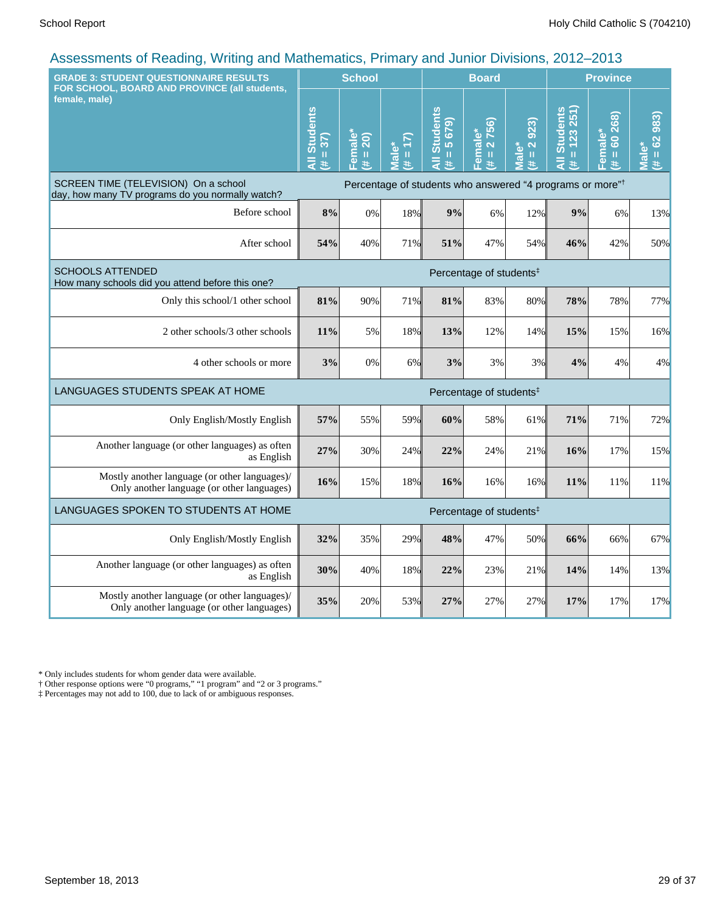| <b>GRADE 3: STUDENT QUESTIONNAIRE RESULTS</b>                                               |                                                                       | <b>School</b>                       |               | <b>Board</b>                         |                                     |                             | <b>Province</b>                 |                                    |                      |
|---------------------------------------------------------------------------------------------|-----------------------------------------------------------------------|-------------------------------------|---------------|--------------------------------------|-------------------------------------|-----------------------------|---------------------------------|------------------------------------|----------------------|
| FOR SCHOOL, BOARD AND PROVINCE (all students,<br>female, male)                              | <b>All Students</b><br>$= 37$<br>#                                    | Female*<br>$(\# = 20)$              | (17)<br>Male* | <b>All Students</b><br>$= 5679$<br>主 | 2756)<br>Female*<br>$\,$ H<br>#     | 923)<br>$= 2$<br>Male*<br># | All Students<br>$= 123251$<br>共 | $= 60268$<br>Female*<br>(# = 60 26 | $# = 62983$<br>Male* |
| SCREEN TIME (TELEVISION) On a school<br>day, how many TV programs do you normally watch?    | Percentage of students who answered "4 programs or more" <sup>†</sup> |                                     |               |                                      |                                     |                             |                                 |                                    |                      |
| Before school                                                                               | 8%                                                                    | 0%                                  | 18%           | 9%                                   | 6%                                  | 12%                         | 9%                              | 6%                                 | 13%                  |
| After school                                                                                | 54%                                                                   | 40%                                 | 71%           | 51%                                  | 47%                                 | 54%                         | 46%                             | 42%                                | 50%                  |
| <b>SCHOOLS ATTENDED</b><br>How many schools did you attend before this one?                 |                                                                       | Percentage of students <sup>#</sup> |               |                                      |                                     |                             |                                 |                                    |                      |
| Only this school/1 other school                                                             | 81%                                                                   | 90%                                 | 71%           | 81%                                  | 83%                                 | 80%                         | 78%                             | 78%                                | 77%                  |
| 2 other schools/3 other schools                                                             | 11%                                                                   | 5%                                  | 18%           | 13%                                  | 12%                                 | 14%                         | 15%                             | 15%                                | 16%                  |
| 4 other schools or more                                                                     | 3%                                                                    | 0%                                  | 6%            | 3%                                   | 3%                                  | 3%                          | 4%                              | 4%                                 | 4%                   |
| LANGUAGES STUDENTS SPEAK AT HOME                                                            |                                                                       |                                     |               |                                      | Percentage of students <sup>‡</sup> |                             |                                 |                                    |                      |
| Only English/Mostly English                                                                 | 57%                                                                   | 55%                                 | 59%           | 60%                                  | 58%                                 | 61%                         | 71%                             | 71%                                | 72%                  |
| Another language (or other languages) as often<br>as English                                | 27%                                                                   | 30%                                 | 24%           | 22%                                  | 24%                                 | 21%                         | 16%                             | 17%                                | 15%                  |
| Mostly another language (or other languages)/<br>Only another language (or other languages) | 16%                                                                   | 15%                                 | 18%           | 16%                                  | 16%                                 | 16%                         | 11%                             | 11%                                | 11%                  |
| LANGUAGES SPOKEN TO STUDENTS AT HOME                                                        |                                                                       |                                     |               |                                      | Percentage of students <sup>‡</sup> |                             |                                 |                                    |                      |
| Only English/Mostly English                                                                 | 32%                                                                   | 35%                                 | 29%           | 48%                                  | 47%                                 | 50%                         | 66%                             | 66%                                | 67%                  |
| Another language (or other languages) as often<br>as English                                | 30%                                                                   | 40%                                 | 18%           | 22%                                  | 23%                                 | 21%                         | 14%                             | 14%                                | 13%                  |
| Mostly another language (or other languages)/<br>Only another language (or other languages) | 35%                                                                   | 20%                                 | 53%           | 27%                                  | 27%                                 | 27%                         | 17%                             | 17%                                | 17%                  |

\* Only includes students for whom gender data were available.

† Other response options were "0 programs," "1 program" and "2 or 3 programs."

‡ Percentages may not add to 100, due to lack of or ambiguous responses.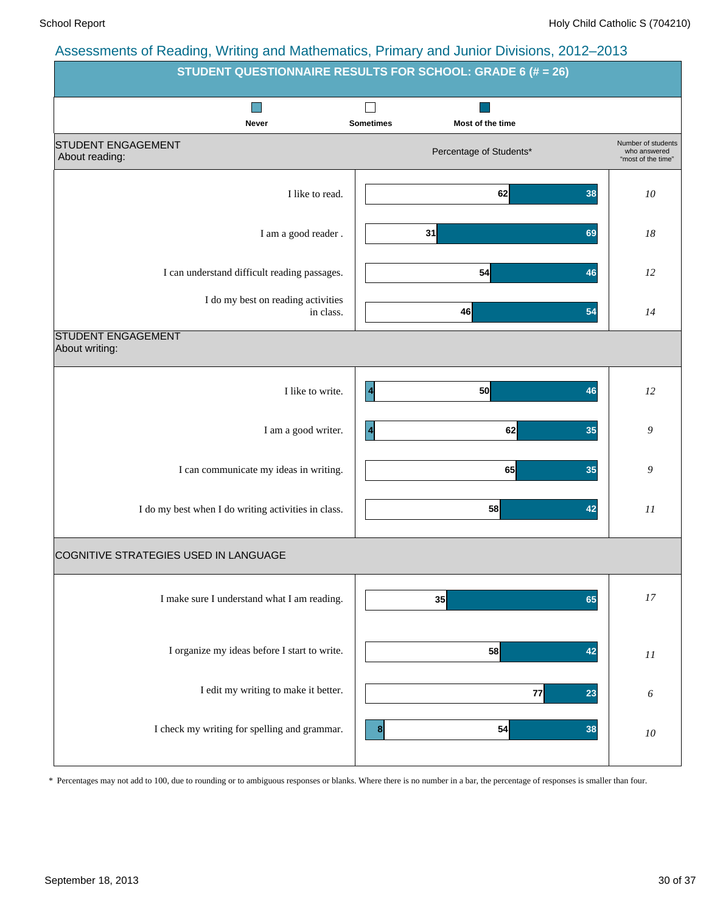| recocomonto or reading; rriting and mathematics; rimality and cannot bimolone; Long Long | <b>STUDENT QUESTIONNAIRE RESULTS FOR SCHOOL: GRADE 6 (# = 26)</b> |                                                          |
|------------------------------------------------------------------------------------------|-------------------------------------------------------------------|----------------------------------------------------------|
| <b>Never</b>                                                                             | <b>Sometimes</b><br>Most of the time                              |                                                          |
| <b>STUDENT ENGAGEMENT</b><br>About reading:                                              | Percentage of Students*                                           | Number of students<br>who answered<br>"most of the time" |
| I like to read.                                                                          | 62<br>38                                                          | 10                                                       |
| I am a good reader.                                                                      | 31<br>69                                                          | 18                                                       |
| I can understand difficult reading passages.                                             | 54<br>46                                                          | 12                                                       |
| I do my best on reading activities<br>in class.                                          | 46<br>54                                                          | 14                                                       |
| <b>STUDENT ENGAGEMENT</b><br>About writing:                                              |                                                                   |                                                          |
| I like to write.                                                                         | 50<br>46<br>$\vert$ 4                                             | 12                                                       |
| I am a good writer.                                                                      | 62<br>35<br>$\vert 4 \vert$                                       | 9                                                        |
| I can communicate my ideas in writing.                                                   | 65<br>35                                                          | 9                                                        |
| I do my best when I do writing activities in class.                                      | 58<br>42                                                          | II                                                       |
| COGNITIVE STRATEGIES USED IN LANGUAGE                                                    |                                                                   |                                                          |
| I make sure I understand what I am reading.                                              | 35<br>65                                                          | 17                                                       |
| I organize my ideas before I start to write.                                             | 58<br>42                                                          | 11                                                       |
| I edit my writing to make it better.                                                     | 77<br>23                                                          | 6                                                        |
| I check my writing for spelling and grammar.                                             | 54<br>38<br> 8                                                    | ${\it 10}$                                               |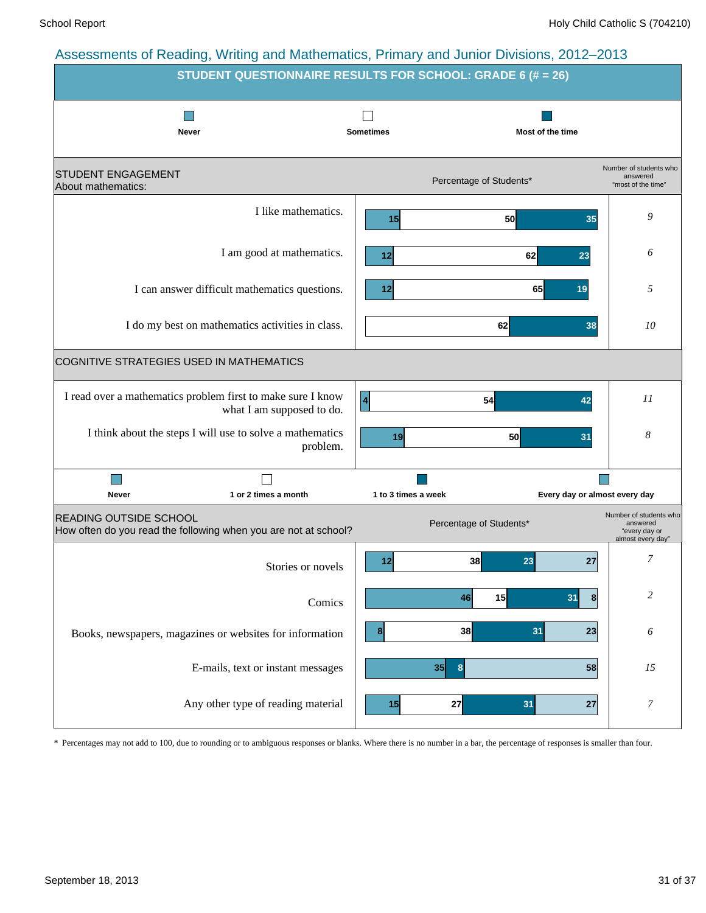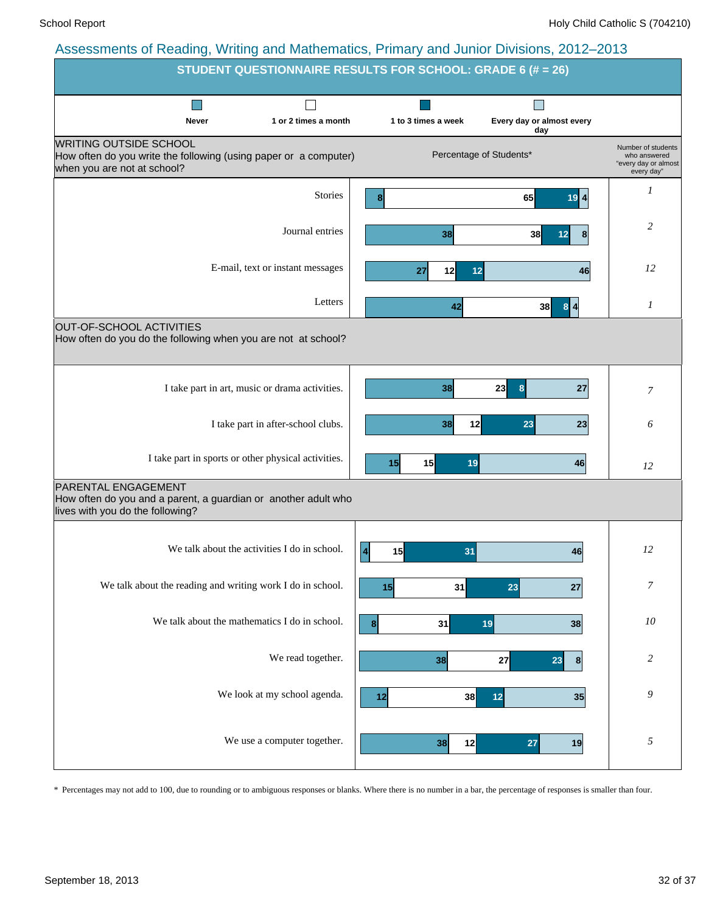| <b>STUDENT QUESTIONNAIRE RESULTS FOR SCHOOL: GRADE 6 (# = 26)</b>                                                                |                 |                        |                                  |                                                                          |
|----------------------------------------------------------------------------------------------------------------------------------|-----------------|------------------------|----------------------------------|--------------------------------------------------------------------------|
| 1 or 2 times a month<br>Never                                                                                                    |                 | 1 to 3 times a week    | Every day or almost every<br>day |                                                                          |
| <b>WRITING OUTSIDE SCHOOL</b><br>How often do you write the following (using paper or a computer)<br>when you are not at school? |                 |                        | Percentage of Students*          | Number of students<br>who answered<br>"every day or almost<br>every day" |
|                                                                                                                                  | <b>Stories</b>  | 8                      | 65<br>$19$ 4                     | 1                                                                        |
|                                                                                                                                  | Journal entries | 38                     | 38<br>12                         | 2                                                                        |
| E-mail, text or instant messages                                                                                                 |                 | 27<br>12<br>12         | 46                               | 12                                                                       |
|                                                                                                                                  | Letters         | 42                     | 38<br>8 4                        | 1                                                                        |
| OUT-OF-SCHOOL ACTIVITIES<br>How often do you do the following when you are not at school?                                        |                 |                        |                                  |                                                                          |
| I take part in art, music or drama activities.                                                                                   |                 | 38                     | 23<br>8<br>27                    | 7                                                                        |
| I take part in after-school clubs.                                                                                               |                 | 38<br>12               | 23<br>23                         | 6                                                                        |
| I take part in sports or other physical activities.                                                                              |                 | 15<br>15<br>19         | 46                               | 12                                                                       |
| <b>PARENTAL ENGAGEMENT</b><br>How often do you and a parent, a guardian or another adult who<br>lives with you do the following? |                 |                        |                                  |                                                                          |
| We talk about the activities I do in school.                                                                                     | 4               | 15<br>31               | 46                               | 12                                                                       |
| We talk about the reading and writing work I do in school.                                                                       |                 | 15<br>31               | 23<br>27                         | 7                                                                        |
| We talk about the mathematics I do in school.                                                                                    |                 | 31<br>$\boldsymbol{8}$ | 19<br>38                         | ${\it 10}$                                                               |
| We read together.                                                                                                                |                 | 38                     | $\boldsymbol{8}$<br>27<br>23     | 2                                                                        |
| We look at my school agenda.                                                                                                     |                 | 38<br>12               | 12<br>35                         | 9                                                                        |
| We use a computer together.                                                                                                      |                 | 12<br>38               | 27<br>19                         | 5                                                                        |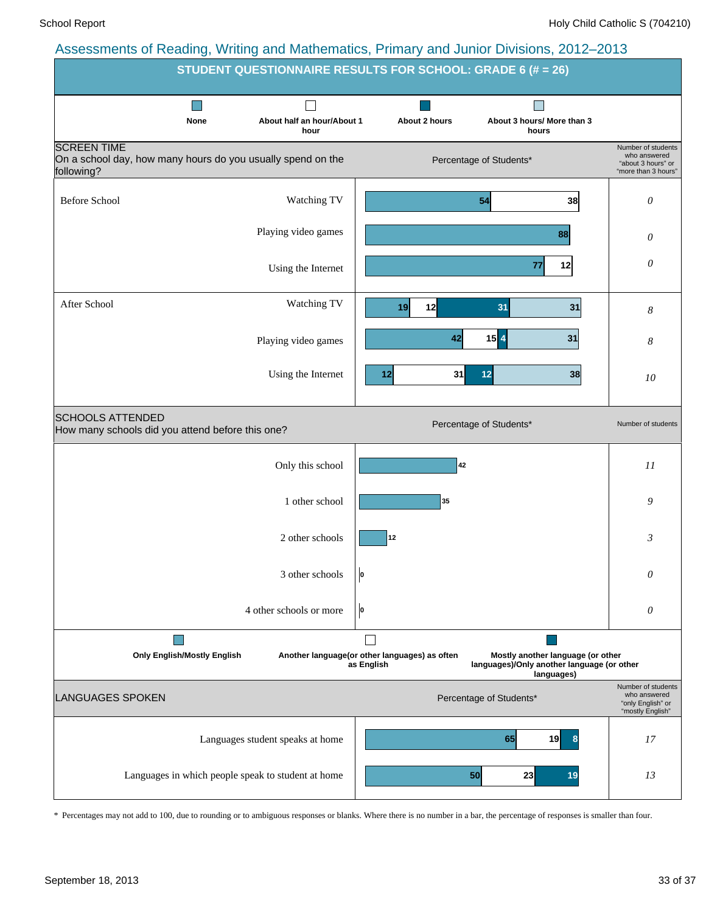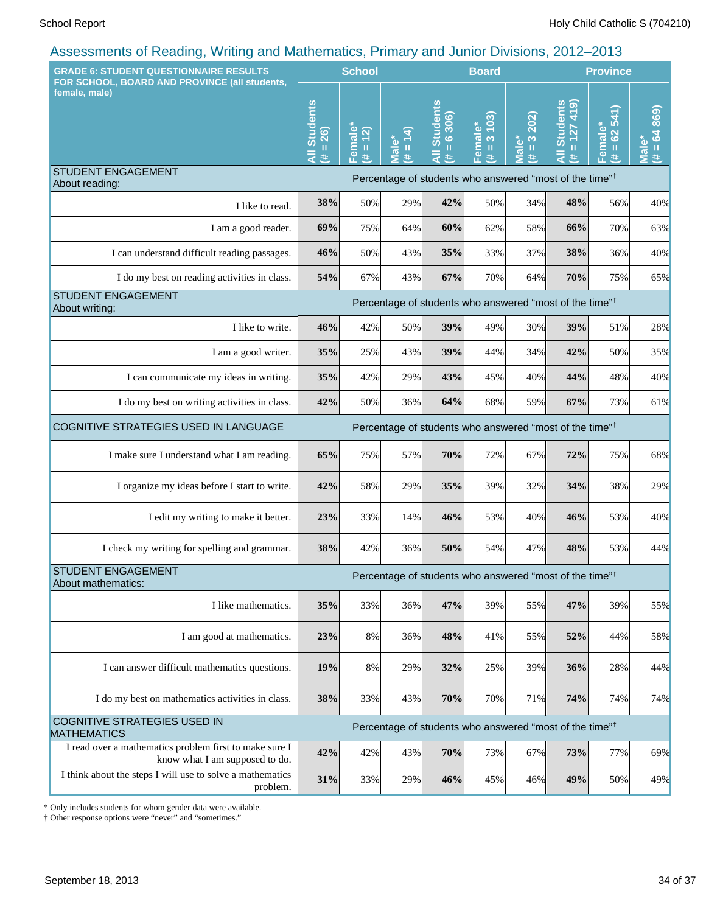| <b>GRADE 6: STUDENT QUESTIONNAIRE RESULTS</b>                                            |                                | <b>School</b>                            |                      | <b>Board</b>                                                  |                                                 |                                     | <b>Province</b>                                                     |                                                 |                             |
|------------------------------------------------------------------------------------------|--------------------------------|------------------------------------------|----------------------|---------------------------------------------------------------|-------------------------------------------------|-------------------------------------|---------------------------------------------------------------------|-------------------------------------------------|-----------------------------|
| FOR SCHOOL, BOARD AND PROVINCE (all students,<br>female, male)                           | <b>Students</b><br>$= 26$<br># | <b>emale</b><br>(2)<br>$\mathbf{u}$<br>共 | $= 14$<br>Male*<br>Ħ | <b>Students</b><br>$= 6306$<br>$\bar{\bar{\mathbf{z}}}$<br>y. | 103<br>Female*<br>$\infty$<br>$\mathbf{u}$<br>医 | 202)<br>$\frac{3}{2}$<br>Male*<br>Ħ | <b>Students</b><br>$= 127419$<br>#.                                 | 541<br>Female*<br>62<br>$\mathbf{\bar{u}}$<br>巷 | 869)<br>$= 64$<br>Male<br>进 |
| <b>STUDENT ENGAGEMENT</b><br>About reading:                                              |                                |                                          |                      |                                                               |                                                 |                                     | Percentage of students who answered "most of the time" <sup>†</sup> |                                                 |                             |
| I like to read.                                                                          | 38%                            | 50%                                      | 29%                  | 42%                                                           | 50%                                             | 34%                                 | 48%                                                                 | 56%                                             | 40%                         |
| I am a good reader.                                                                      | 69%                            | 75%                                      | 64%                  | 60%                                                           | 62%                                             | 58%                                 | 66%                                                                 | 70%                                             | 63%                         |
| I can understand difficult reading passages.                                             | 46%                            | 50%                                      | 43%                  | 35%                                                           | 33%                                             | 37%                                 | 38%                                                                 | 36%                                             | 40%                         |
| I do my best on reading activities in class.                                             | 54%                            | 67%                                      | 43%                  | 67%                                                           | 70%                                             | 64%                                 | 70%                                                                 | 75%                                             | 65%                         |
| <b>STUDENT ENGAGEMENT</b><br>About writing:                                              |                                |                                          |                      |                                                               |                                                 |                                     | Percentage of students who answered "most of the time" <sup>†</sup> |                                                 |                             |
| I like to write.                                                                         | 46%                            | 42%                                      | 50%                  | 39%                                                           | 49%                                             | 30%                                 | 39%                                                                 | 51%                                             | 28%                         |
| I am a good writer.                                                                      | 35%                            | 25%                                      | 43%                  | 39%                                                           | 44%                                             | 34%                                 | 42%                                                                 | 50%                                             | 35%                         |
| I can communicate my ideas in writing.                                                   | 35%                            | 42%                                      | 29%                  | 43%                                                           | 45%                                             | 40%                                 | 44%                                                                 | 48%                                             | 40%                         |
| I do my best on writing activities in class.                                             | 42%                            | 50%                                      | 36%                  | 64%                                                           | 68%                                             | 59%                                 | 67%                                                                 | 73%                                             | 61%                         |
| COGNITIVE STRATEGIES USED IN LANGUAGE                                                    |                                |                                          |                      |                                                               |                                                 |                                     | Percentage of students who answered "most of the time" <sup>†</sup> |                                                 |                             |
| I make sure I understand what I am reading.                                              | 65%                            | 75%                                      | 57%                  | 70%                                                           | 72%                                             | 67%                                 | 72%                                                                 | 75%                                             | 68%                         |
| I organize my ideas before I start to write.                                             | 42%                            | 58%                                      | 29%                  | 35%                                                           | 39%                                             | 32%                                 | 34%                                                                 | 38%                                             | 29%                         |
| I edit my writing to make it better.                                                     | 23%                            | 33%                                      | 14%                  | 46%                                                           | 53%                                             | 40%                                 | 46%                                                                 | 53%                                             | 40%                         |
| I check my writing for spelling and grammar.                                             | 38%                            | 42%                                      | 36%                  | 50%                                                           | 54%                                             | 47%                                 | 48%                                                                 | 53%                                             | 44%                         |
| STUDENT ENGAGEMENT<br>About mathematics:                                                 |                                |                                          |                      |                                                               |                                                 |                                     | Percentage of students who answered "most of the time" <sup>†</sup> |                                                 |                             |
| I like mathematics.                                                                      | 35%                            | 33%                                      | 36%                  | 47%                                                           | 39%                                             | 55%                                 | 47%                                                                 | 39%                                             | 55%                         |
| I am good at mathematics.                                                                | 23%                            | 8%                                       | 36%                  | 48%                                                           | 41%                                             | 55%                                 | 52%                                                                 | 44%                                             | 58%                         |
| I can answer difficult mathematics questions.                                            | 19%                            | 8%                                       | 29%                  | 32%                                                           | 25%                                             | 39%                                 | 36%                                                                 | 28%                                             | 44%                         |
| I do my best on mathematics activities in class.                                         | 38%                            | 33%                                      | 43%                  | 70%                                                           | 70%                                             | 71%                                 | 74%                                                                 | 74%                                             | 74%                         |
| COGNITIVE STRATEGIES USED IN<br><b>MATHEMATICS</b>                                       |                                |                                          |                      |                                                               |                                                 |                                     | Percentage of students who answered "most of the time" <sup>†</sup> |                                                 |                             |
| I read over a mathematics problem first to make sure I<br>know what I am supposed to do. | 42%                            | 42%                                      | 43%                  | 70%                                                           | 73%                                             | 67%                                 | 73%                                                                 | 77%                                             | 69%                         |
| I think about the steps I will use to solve a mathematics<br>problem.                    | 31%                            | 33%                                      | 29%                  | 46%                                                           | 45%                                             | 46%                                 | 49%                                                                 | 50%                                             | 49%                         |

\* Only includes students for whom gender data were available.

† Other response options were "never" and "sometimes."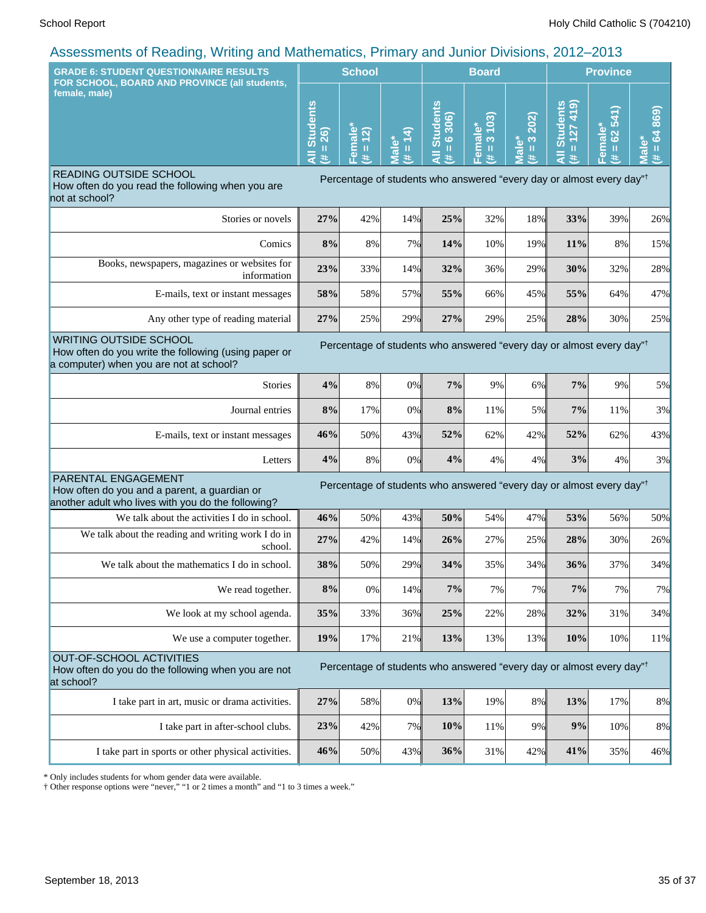| <b>GRADE 6: STUDENT QUESTIONNAIRE RESULTS</b>                                                                                                                                                                        |                           | <b>School</b>               |                                |                                                          | <b>Board</b>                                                |                                    |                                                                                  | <b>Province</b>                               |                                     |  |
|----------------------------------------------------------------------------------------------------------------------------------------------------------------------------------------------------------------------|---------------------------|-----------------------------|--------------------------------|----------------------------------------------------------|-------------------------------------------------------------|------------------------------------|----------------------------------------------------------------------------------|-----------------------------------------------|-------------------------------------|--|
| FOR SCHOOL, BOARD AND PROVINCE (all students,<br>female, male)                                                                                                                                                       | <b>Students</b><br>$= 26$ | emale<br>(2)<br>Ш<br>$\ast$ | $\overline{4}$<br>ÏΦ<br>Ш<br>ಸ | <b>Students</b><br>306)<br>$\ddot{\circ}$<br>$\mathbf H$ | $\overline{103}$<br>៰៎<br>Femal<br>$\infty$<br>$\rm H$<br>主 | 202<br>$\frac{3}{2}$<br>Male*<br>共 | $= 127419$<br><b>Students</b><br>$\overline{a}$<br>共                             | 62 541)<br>Female*<br>$\mathbf{\bar{u}}$<br>违 | $= 64869$<br>Male <sup>*</sup><br>进 |  |
| <b>READING OUTSIDE SCHOOL</b><br>How often do you read the following when you are<br>not at school?                                                                                                                  |                           |                             |                                |                                                          |                                                             |                                    | Percentage of students who answered "every day or almost every day" <sup>†</sup> |                                               |                                     |  |
| Stories or novels                                                                                                                                                                                                    | 27%                       | 42%                         | 14%                            | 25%                                                      | 32%                                                         | 18%                                | 33%                                                                              | 39%                                           | 26%                                 |  |
| Comics                                                                                                                                                                                                               | 8%                        | 8%                          | 7%                             | 14%                                                      | 10%                                                         | 19%                                | 11%                                                                              | 8%                                            | 15%                                 |  |
| Books, newspapers, magazines or websites for<br>information                                                                                                                                                          | 23%                       | 33%                         | 14%                            | 32%                                                      | 36%                                                         | 29%                                | 30%                                                                              | 32%                                           | 28%                                 |  |
| E-mails, text or instant messages                                                                                                                                                                                    | 58%                       | 58%                         | 57%                            | 55%                                                      | 66%                                                         | 45%                                | 55%                                                                              | 64%                                           | 47%                                 |  |
| Any other type of reading material                                                                                                                                                                                   | 27%                       | 25%                         | 29%                            | 27%                                                      | 29%                                                         | 25%                                | 28%                                                                              | 30%                                           | 25%                                 |  |
| <b>WRITING OUTSIDE SCHOOL</b><br>Percentage of students who answered "every day or almost every day" <sup>†</sup><br>How often do you write the following (using paper or<br>a computer) when you are not at school? |                           |                             |                                |                                                          |                                                             |                                    |                                                                                  |                                               |                                     |  |
| <b>Stories</b>                                                                                                                                                                                                       | 4%                        | 8%                          | 0%                             | 7%                                                       | 9%                                                          | 6%                                 | 7%                                                                               | 9%                                            | 5%                                  |  |
| Journal entries                                                                                                                                                                                                      | 8%                        | 17%                         | 0%                             | 8%                                                       | 11%                                                         | 5%                                 | 7%                                                                               | 11%                                           | 3%                                  |  |
| E-mails, text or instant messages                                                                                                                                                                                    | 46%                       | 50%                         | 43%                            | 52%                                                      | 62%                                                         | 42%                                | 52%                                                                              | 62%                                           | 43%                                 |  |
| Letters                                                                                                                                                                                                              | 4%                        | 8%                          | 0%                             | 4%                                                       | 4%                                                          | 4%                                 | 3%                                                                               | 4%                                            | 3%                                  |  |
| PARENTAL ENGAGEMENT<br>How often do you and a parent, a guardian or<br>another adult who lives with you do the following?                                                                                            |                           |                             |                                |                                                          |                                                             |                                    | Percentage of students who answered "every day or almost every day" <sup>†</sup> |                                               |                                     |  |
| We talk about the activities I do in school.                                                                                                                                                                         | 46%                       | 50%                         | 43%                            | 50%                                                      | 54%                                                         | 47%                                | 53%                                                                              | 56%                                           | 50%                                 |  |
| We talk about the reading and writing work I do in<br>school.                                                                                                                                                        | 27%                       | 42%                         | 14%                            | 26%                                                      | 27%                                                         | 25%                                | 28%                                                                              | 30%                                           | 26%                                 |  |
| We talk about the mathematics I do in school.                                                                                                                                                                        | 38%                       | 50%                         | 29%                            | 34%                                                      | 35%                                                         | 34%                                | 36%                                                                              | 37%                                           | 34%                                 |  |
| We read together.                                                                                                                                                                                                    | 8%                        | 0%                          | 14%                            | 7%                                                       | 7%                                                          | 7%                                 | 7%                                                                               | 7%                                            | 7%                                  |  |
| We look at my school agenda.                                                                                                                                                                                         | 35%                       | 33%                         | 36%                            | 25%                                                      | 22%                                                         | 28%                                | 32%                                                                              | 31%                                           | 34%                                 |  |
| We use a computer together.                                                                                                                                                                                          | 19%                       | 17%                         | 21%                            | 13%                                                      | 13%                                                         | 13%                                | 10%                                                                              | 10%                                           | 11%                                 |  |
| OUT-OF-SCHOOL ACTIVITIES<br>How often do you do the following when you are not<br>at school?                                                                                                                         |                           |                             |                                |                                                          |                                                             |                                    | Percentage of students who answered "every day or almost every day" <sup>†</sup> |                                               |                                     |  |
| I take part in art, music or drama activities.                                                                                                                                                                       | 27%                       | 58%                         | 0%                             | 13%                                                      | 19%                                                         | 8%                                 | 13%                                                                              | 17%                                           | 8%                                  |  |
| I take part in after-school clubs.                                                                                                                                                                                   | 23%                       | 42%                         | 7%                             | 10%                                                      | 11%                                                         | 9%                                 | 9%                                                                               | 10%                                           | 8%                                  |  |
| I take part in sports or other physical activities.                                                                                                                                                                  | 46%                       | 50%                         | 43%                            | 36%                                                      | 31%                                                         | 42%                                | 41%                                                                              | 35%                                           | 46%                                 |  |

\* Only includes students for whom gender data were available.

† Other response options were "never," "1 or 2 times a month" and "1 to 3 times a week."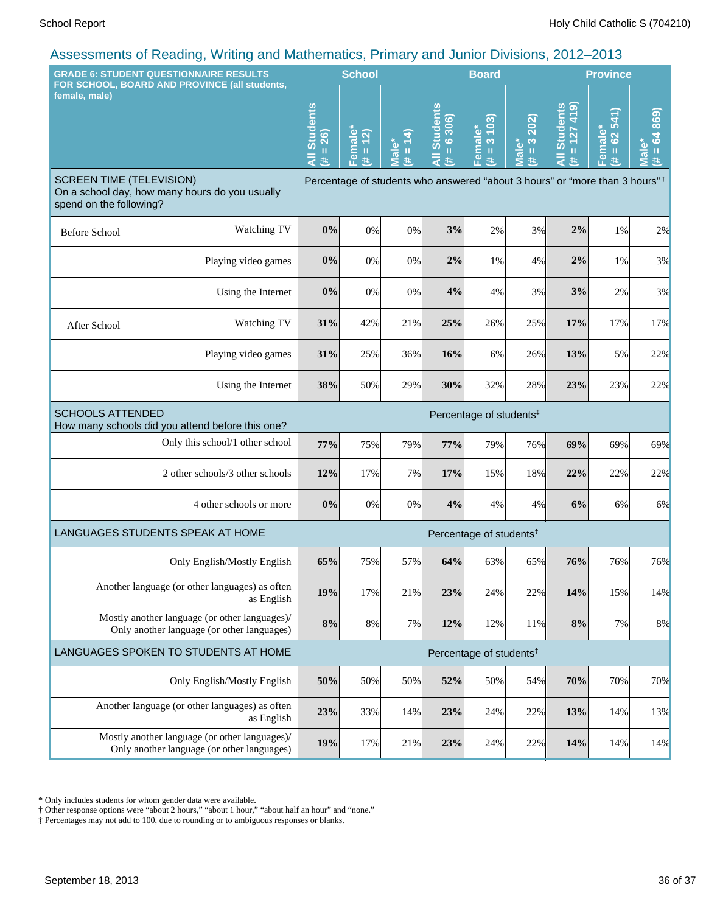| <b>GRADE 6: STUDENT QUESTIONNAIRE RESULTS</b>                                                                |                                                                                         | <b>School</b>                                                                                                                                                                                    |                                              |                                                                                                                                                                                                                 | <b>Board</b>                        |                                                  |                                         | <b>Province</b>                        |                                                  |  |
|--------------------------------------------------------------------------------------------------------------|-----------------------------------------------------------------------------------------|--------------------------------------------------------------------------------------------------------------------------------------------------------------------------------------------------|----------------------------------------------|-----------------------------------------------------------------------------------------------------------------------------------------------------------------------------------------------------------------|-------------------------------------|--------------------------------------------------|-----------------------------------------|----------------------------------------|--------------------------------------------------|--|
| FOR SCHOOL, BOARD AND PROVINCE (all students,<br>female, male)                                               | <b>Students</b><br>26)<br>Ш<br>#                                                        | Female <sup>*</sup><br>(2)<br>$\mathbf{H}% =\mathbf{H}^{T}\mathbf{v}^{T}\mathbf{v}^{T}\mathbf{v}^{T}+\mathbf{H}^{T}\mathbf{v}^{T}\mathbf{v}^{T}+\mathbf{H}^{T}\mathbf{v}^{T}\mathbf{v}^{T}$<br># | $\overline{4}$<br>lale*<br>$\mathbf{u}$<br># | <b>Students</b><br>306)<br>$\ddot{\circ}$<br>$\mathbf{H}% =\mathbf{H}^{T}\mathbf{v}^{T}\mathbf{v}^{T}\mathbf{v}^{T}+\mathbf{H}^{T}\mathbf{v}^{T}\mathbf{v}^{T}+\mathbf{H}^{T}\mathbf{v}^{T}\mathbf{v}^{T}$<br># | 3 103)<br>Female*<br>$\rm H$<br>主   | 202)<br>$\infty$<br><b>Male*</b><br>$\rm H$<br>进 | $= 127419$<br><b>Students</b><br>Ę<br>进 | 62 541<br>Female*<br>$\mathbf{H}$<br>主 | 869)<br>\$4<br>Ш<br>$\overline{\mathbf{c}}$<br>进 |  |
| <b>SCREEN TIME (TELEVISION)</b><br>On a school day, how many hours do you usually<br>spend on the following? | Percentage of students who answered "about 3 hours" or "more than 3 hours" <sup>†</sup> |                                                                                                                                                                                                  |                                              |                                                                                                                                                                                                                 |                                     |                                                  |                                         |                                        |                                                  |  |
| Watching TV<br><b>Before School</b>                                                                          | 0%                                                                                      | 0%                                                                                                                                                                                               | 0%                                           | 3%                                                                                                                                                                                                              | 2%                                  | 3%                                               | 2%                                      | 1%                                     | 2%                                               |  |
| Playing video games                                                                                          | 0%                                                                                      | 0%                                                                                                                                                                                               | 0%                                           | 2%                                                                                                                                                                                                              | 1%                                  | 4%                                               | 2%                                      | 1%                                     | 3%                                               |  |
| Using the Internet                                                                                           | 0%                                                                                      | 0%                                                                                                                                                                                               | $0\%$                                        | 4%                                                                                                                                                                                                              | 4%                                  | 3%                                               | 3%                                      | 2%                                     | 3%                                               |  |
| Watching TV<br>After School                                                                                  | 31%                                                                                     | 42%                                                                                                                                                                                              | 21%                                          | 25%                                                                                                                                                                                                             | 26%                                 | 25%                                              | 17%                                     | 17%                                    | 17%                                              |  |
| Playing video games                                                                                          | 31%                                                                                     | 25%                                                                                                                                                                                              | 36%                                          | 16%                                                                                                                                                                                                             | 6%                                  | 26%                                              | 13%                                     | 5%                                     | 22%                                              |  |
| Using the Internet                                                                                           | 38%                                                                                     | 50%                                                                                                                                                                                              | 29%                                          | 30%                                                                                                                                                                                                             | 32%                                 | 28%                                              | 23%                                     | 23%                                    | 22%                                              |  |
| <b>SCHOOLS ATTENDED</b><br>How many schools did you attend before this one?                                  |                                                                                         |                                                                                                                                                                                                  |                                              |                                                                                                                                                                                                                 | Percentage of students <sup>‡</sup> |                                                  |                                         |                                        |                                                  |  |
| Only this school/1 other school                                                                              | 77%                                                                                     | 75%                                                                                                                                                                                              | 79%                                          | 77%                                                                                                                                                                                                             | 79%                                 | 76%                                              | 69%                                     | 69%                                    | 69%                                              |  |
| 2 other schools/3 other schools                                                                              | 12%                                                                                     | 17%                                                                                                                                                                                              | 7%                                           | 17%                                                                                                                                                                                                             | 15%                                 | 18%                                              | 22%                                     | 22%                                    | 22%                                              |  |
| 4 other schools or more                                                                                      | 0%                                                                                      | 0%                                                                                                                                                                                               | 0%                                           | 4%                                                                                                                                                                                                              | 4%                                  | 4%                                               | 6%                                      | 6%                                     | 6%                                               |  |
| LANGUAGES STUDENTS SPEAK AT HOME                                                                             |                                                                                         |                                                                                                                                                                                                  |                                              |                                                                                                                                                                                                                 | Percentage of students <sup>‡</sup> |                                                  |                                         |                                        |                                                  |  |
| Only English/Mostly English                                                                                  | 65%                                                                                     | 75%                                                                                                                                                                                              | 57%                                          | 64%                                                                                                                                                                                                             | 63%                                 | 65%                                              | 76%                                     | 76%                                    | 76%                                              |  |
| Another language (or other languages) as often<br>as English                                                 | 19%                                                                                     | 17%                                                                                                                                                                                              | 21%                                          | 23%                                                                                                                                                                                                             | 24%                                 | 22%                                              | 14%                                     | 15%                                    | 14%                                              |  |
| Mostly another language (or other languages)/<br>Only another language (or other languages)                  | 8%                                                                                      | $8\%$                                                                                                                                                                                            | 7%                                           | 12%                                                                                                                                                                                                             | 12%                                 | 11%                                              | 8%                                      | 7%                                     | 8%                                               |  |
| LANGUAGES SPOKEN TO STUDENTS AT HOME                                                                         |                                                                                         |                                                                                                                                                                                                  |                                              |                                                                                                                                                                                                                 | Percentage of students <sup>#</sup> |                                                  |                                         |                                        |                                                  |  |
| Only English/Mostly English                                                                                  | 50%                                                                                     | 50%                                                                                                                                                                                              | 50%                                          | 52%                                                                                                                                                                                                             | 50%                                 | 54%                                              | 70%                                     | 70%                                    | 70%                                              |  |
| Another language (or other languages) as often<br>as English                                                 | 23%                                                                                     | 33%                                                                                                                                                                                              | 14%                                          | 23%                                                                                                                                                                                                             | 24%                                 | 22%                                              | 13%                                     | 14%                                    | 13%                                              |  |
| Mostly another language (or other languages)/<br>Only another language (or other languages)                  | 19%                                                                                     | 17%                                                                                                                                                                                              | 21%                                          | 23%                                                                                                                                                                                                             | 24%                                 | 22%                                              | 14%                                     | 14%                                    | 14%                                              |  |

\* Only includes students for whom gender data were available.

† Other response options were "about 2 hours," "about 1 hour," "about half an hour" and "none."

‡ Percentages may not add to 100, due to rounding or to ambiguous responses or blanks.